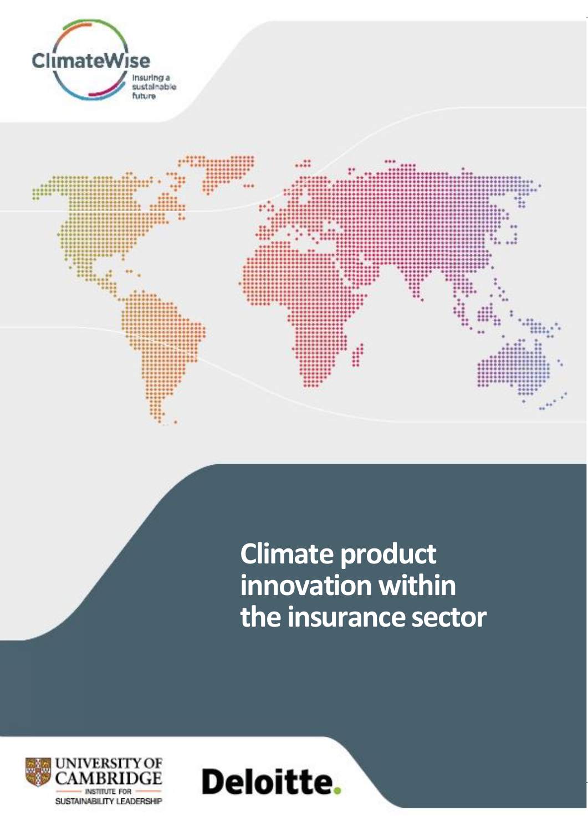



**Climate product innovation within the insurance sector**

1



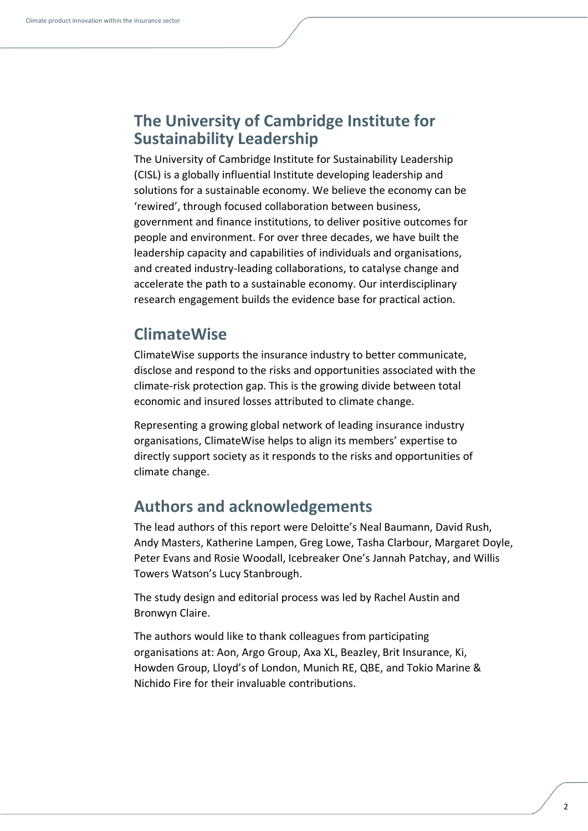## **The University of Cambridge Institute for Sustainability Leadership**

The University of Cambridge Institute for Sustainability Leadership (CISL) is a globally influential Institute developing leadership and solutions for a sustainable economy. We believe the economy can be 'rewired', through focused collaboration between business, government and finance institutions, to deliver positive outcomes for people and environment. For over three decades, we have built the leadership capacity and capabilities of individuals and organisations, and created industry-leading collaborations, to catalyse change and accelerate the path to a sustainable economy. Our interdisciplinary research engagement builds the evidence base for practical action.

## **ClimateWise**

ClimateWise supports the insurance industry to better communicate, disclose and respond to the risks and opportunities associated with the climate-risk protection gap. This is the growing divide between total economic and insured losses attributed to climate change.

Representing a growing global network of [leading insurance industry](https://www.cisl.cam.ac.uk/business-action/sustainable-finance/climatewise/about-membership)  [organisations](https://www.cisl.cam.ac.uk/business-action/sustainable-finance/climatewise/about-membership), ClimateWise helps to align its members' expertise to directly support society as it responds to the risks and opportunities of climate change.

## **Authors and acknowledgements**

The lead authors of this report were Deloitte's Neal Baumann, David Rush, Andy Masters, Katherine Lampen, Greg Lowe, Tasha Clarbour, Margaret Doyle, Peter Evans and Rosie Woodall, Icebreaker One's Jannah Patchay, and Willis Towers Watson's Lucy Stanbrough.

The study design and editorial process was led by Rachel Austin and Bronwyn Claire.

The authors would like to thank colleagues from participating organisations at: Aon, Argo Group, Axa XL, Beazley, Brit Insurance, Ki, Howden Group, Lloyd's of London, Munich RE, QBE, and Tokio Marine & Nichido Fire for their invaluable contributions.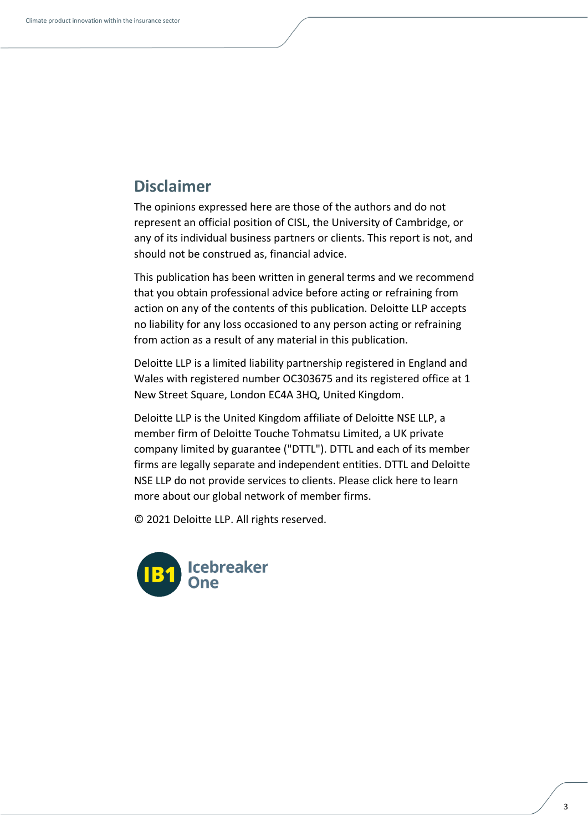## **Disclaimer**

The opinions expressed here are those of the authors and do not represent an official position of CISL, the University of Cambridge, or any of its individual business partners or clients. This report is not, and should not be construed as, financial advice.

This publication has been written in general terms and we recommend that you obtain professional advice before acting or refraining from action on any of the contents of this publication. Deloitte LLP accepts no liability for any loss occasioned to any person acting or refraining from action as a result of any material in this publication.

Deloitte LLP is a limited liability partnership registered in England and Wales with registered number OC303675 and its registered office at 1 New Street Square, London EC4A 3HQ, United Kingdom.

Deloitte LLP is the United Kingdom affiliate of Deloitte NSE LLP, a member firm of Deloitte Touche Tohmatsu Limited, a UK private company limited by guarantee ("DTTL"). DTTL and each of its member firms are legally separate and independent entities. DTTL and Deloitte NSE LLP do not provide services to clients. Please click here to learn more about our global network of member firms.

© 2021 Deloitte LLP. All rights reserved.

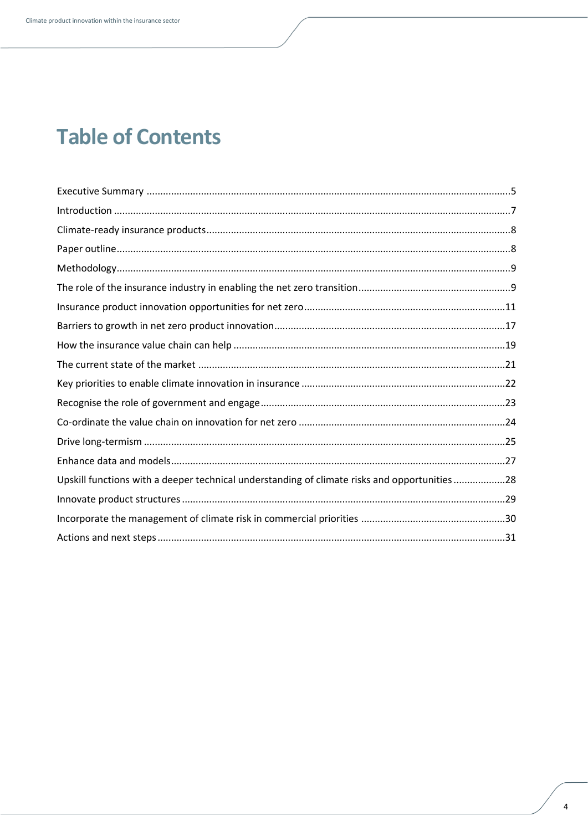# **Table of Contents**

| Upskill functions with a deeper technical understanding of climate risks and opportunities 28 |
|-----------------------------------------------------------------------------------------------|
|                                                                                               |
|                                                                                               |
|                                                                                               |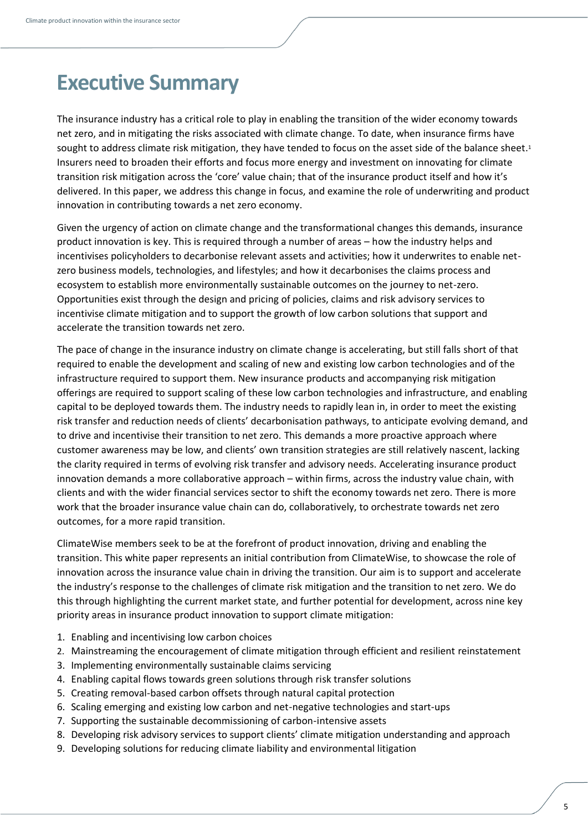## <span id="page-4-0"></span>**Executive Summary**

The insurance industry has a critical role to play in enabling the transition of the wider economy towards net zero, and in mitigating the risks associated with climate change. To date, when insurance firms have sought to address climate risk mitigation, they have tended to focus on the asset side of the balance sheet. 1 Insurers need to broaden their efforts and focus more energy and investment on innovating for climate transition risk mitigation across the 'core' value chain; that of the insurance product itself and how it's delivered. In this paper, we address this change in focus, and examine the role of underwriting and product innovation in contributing towards a net zero economy.

Given the urgency of action on climate change and the transformational changes this demands, insurance product innovation is key. This is required through a number of areas – how the industry helps and incentivises policyholders to decarbonise relevant assets and activities; how it underwrites to enable netzero business models, technologies, and lifestyles; and how it decarbonises the claims process and ecosystem to establish more environmentally sustainable outcomes on the journey to net-zero. Opportunities exist through the design and pricing of policies, claims and risk advisory services to incentivise climate mitigation and to support the growth of low carbon solutions that support and accelerate the transition towards net zero.

The pace of change in the insurance industry on climate change is accelerating, but still falls short of that required to enable the development and scaling of new and existing low carbon technologies and of the infrastructure required to support them. New insurance products and accompanying risk mitigation offerings are required to support scaling of these low carbon technologies and infrastructure, and enabling capital to be deployed towards them. The industry needs to rapidly lean in, in order to meet the existing risk transfer and reduction needs of clients' decarbonisation pathways, to anticipate evolving demand, and to drive and incentivise their transition to net zero. This demands a more proactive approach where customer awareness may be low, and clients' own transition strategies are still relatively nascent, lacking the clarity required in terms of evolving risk transfer and advisory needs. Accelerating insurance product innovation demands a more collaborative approach – within firms, across the industry value chain, with clients and with the wider financial services sector to shift the economy towards net zero. There is more work that the broader insurance value chain can do, collaboratively, to orchestrate towards net zero outcomes, for a more rapid transition.

ClimateWise members seek to be at the forefront of product innovation, driving and enabling the transition. This white paper represents an initial contribution from ClimateWise, to showcase the role of innovation across the insurance value chain in driving the transition. Our aim is to support and accelerate the industry's response to the challenges of climate risk mitigation and the transition to net zero. We do this through highlighting the current market state, and further potential for development, across nine key priority areas in insurance product innovation to support climate mitigation:

- 1. Enabling and incentivising low carbon choices
- 2. Mainstreaming the encouragement of climate mitigation through efficient and resilient reinstatement
- 3. Implementing environmentally sustainable claims servicing
- 4. Enabling capital flows towards green solutions through risk transfer solutions
- 5. Creating removal-based carbon offsets through natural capital protection
- 6. Scaling emerging and existing low carbon and net-negative technologies and start-ups
- 7. Supporting the sustainable decommissioning of carbon-intensive assets
- 8. Developing risk advisory services to support clients' climate mitigation understanding and approach
- 9. Developing solutions for reducing climate liability and environmental litigation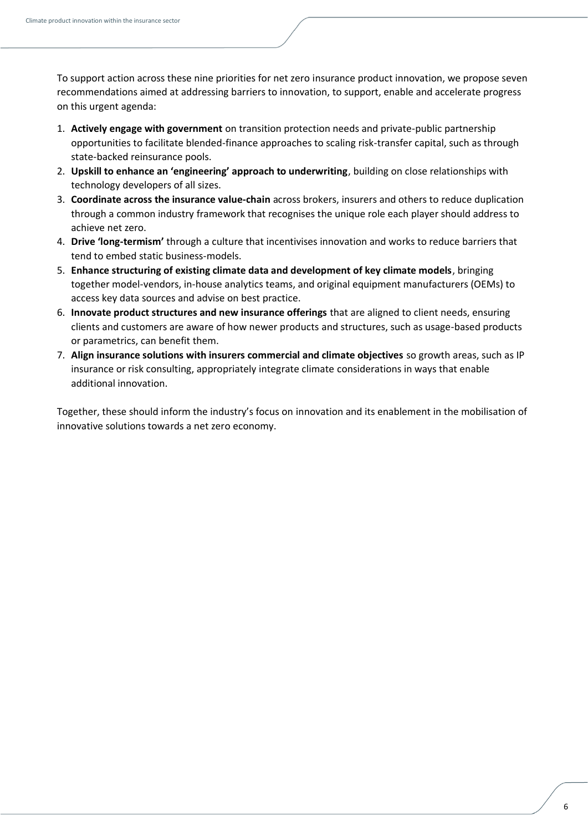To support action across these nine priorities for net zero insurance product innovation, we propose seven recommendations aimed at addressing barriers to innovation, to support, enable and accelerate progress on this urgent agenda:

- 1. **Actively engage with government** on transition protection needs and private-public partnership opportunities to facilitate blended-finance approaches to scaling risk-transfer capital, such as through state-backed reinsurance pools.
- 2. **Upskill to enhance an 'engineering' approach to underwriting**, building on close relationships with technology developers of all sizes.
- 3. **Coordinate across the insurance value-chain** across brokers, insurers and others to reduce duplication through a common industry framework that recognises the unique role each player should address to achieve net zero.
- 4. **Drive 'long-termism'** through a culture that incentivises innovation and works to reduce barriers that tend to embed static business-models.
- 5. **Enhance structuring of existing climate data and development of key climate models**, bringing together model-vendors, in-house analytics teams, and original equipment manufacturers (OEMs) to access key data sources and advise on best practice.
- 6. **Innovate product structures and new insurance offerings** that are aligned to client needs, ensuring clients and customers are aware of how newer products and structures, such as usage-based products or parametrics, can benefit them.
- 7. **Align insurance solutions with insurers commercial and climate objectives** so growth areas, such as IP insurance or risk consulting, appropriately integrate climate considerations in ways that enable additional innovation.

Together, these should inform the industry's focus on innovation and its enablement in the mobilisation of innovative solutions towards a net zero economy.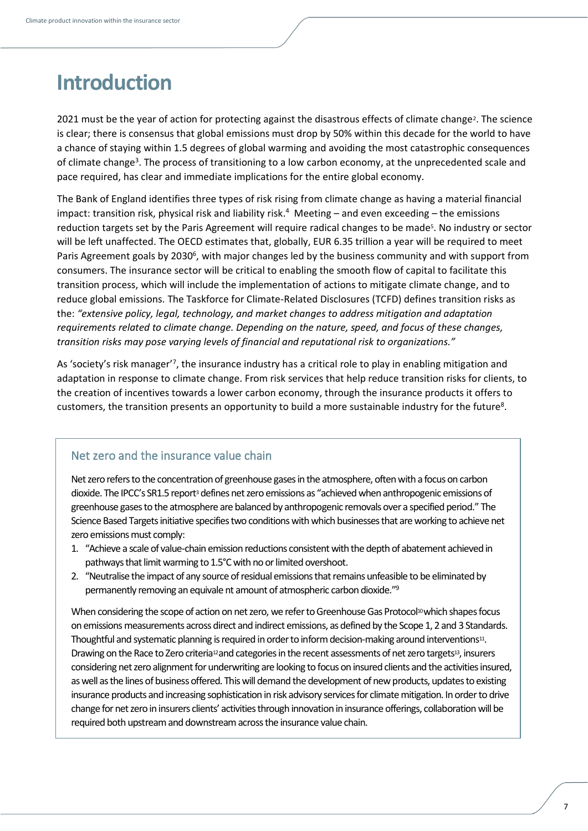## <span id="page-6-0"></span>**Introduction**

2021 must be the year of action for protecting against the disastrous effects of climate change<sup>2</sup> . The science is clear; there is consensus that global emissions must drop by 50% within this decade for the world to have a chance of staying within 1.5 degrees of global warming and avoiding the most catastrophic consequences of climate change<sup>3</sup>. The process of transitioning to a low carbon economy, at the unprecedented scale and pace required, has clear and immediate implications for the entire global economy.

The Bank of England identifies three types of risk rising from climate change as having a material financial impact: transition risk, physical risk and liability risk.<sup>4</sup> Meeting  $-$  and even exceeding  $-$  the emissions reduction targets set by the Paris Agreement will require radical changes to be made<sup>5</sup>. No industry or sector will be left unaffected. The OECD estimates that, globally, EUR 6.35 trillion a year will be required to meet Paris Agreement goals by 2030<sup>6</sup>, with major changes led by the business community and with support from consumers. The insurance sector will be critical to enabling the smooth flow of capital to facilitate this transition process, which will include the implementation of actions to mitigate climate change, and to reduce global emissions. The Taskforce for Climate-Related Disclosures (TCFD) defines transition risks as the: *"extensive policy, legal, technology, and market changes to address mitigation and adaptation requirements related to climate change. Depending on the nature, speed, and focus of these changes, transition risks may pose varying levels of financial and reputational risk to organizations."*

As 'society's risk manager'7, the insurance industry has a critical role to play in enabling mitigation and adaptation in response to climate change. From risk services that help reduce transition risks for clients, to the creation of incentives towards a lower carbon economy, through the insurance products it offers to customers, the transition presents an opportunity to build a more sustainable industry for the future<sup>8</sup>.

### Net zero and the insurance value chain

Net zero refers to the concentration of greenhouse gases in the atmosphere, often with a focus on carbon dioxide. The IPCC's [SR1.5](https://www.ipcc.ch/sr15/) report<sup>3</sup> defines net zero emissions as "achieved when anthropogenic emissions of greenhouse gases to the atmosphere are balanced by anthropogenic removals over a specified period." The Science Based Targets initiative specifies two conditions with which businesses that are working to achieve net zero emissions must comply:

- 1. "Achieve a scale of value-chain emission reductions consistent with the depth of abatement achieved in pathways that limit warming to 1.5°C with no or limited overshoot.
- 2. "Neutralise the impact of any source of residual emissions that remains unfeasible to be eliminated by permanently removing an equivale nt amount of atmospheric carbon dioxide."<sup>9</sup>

<span id="page-6-1"></span>When considering the scope of action on net zero, we refer to Greenhouse Gas Protocol<sup>10</sup> which shapes focus on emissions measurements across direct and indirect emissions, as defined by the Scope 1, 2 and 3 Standards. Thoughtful and systematic planning is required in order to inform decision-making around interventions<sup>11</sup>. Drawing on the Race to Zero criteria<sup>12</sup> and categories in the recent assessments of net zero targets<sup>13</sup>, insurers considering net zero alignment for underwriting are looking to focus on insured clients and the activities insured, as well as the lines of business offered. This will demand the development of new products, updates to existing insurance products and increasing sophistication in risk advisory services for climate mitigation. In order to drive change for net zero in insurers clients' activities through innovation in insurance offerings, collaboration will be required both upstream and downstream across the insurance value chain.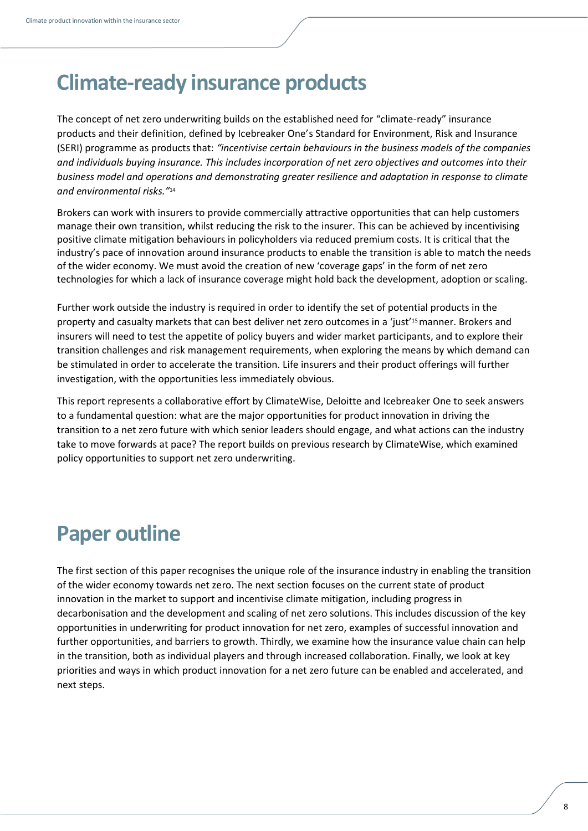# **Climate-ready insurance products**

The concept of net zero underwriting builds on the established need for "climate-ready" insurance products and their definition, defined by Icebreaker One's Standard for Environment, Risk and Insurance (SERI) programme as products that: *"incentivise certain behaviours in the business models of the companies and individuals buying insurance. This includes incorporation of net zero objectives and outcomes into their business model and operations and demonstrating greater resilience and adaptation in response to climate and environmental risks."*<sup>14</sup>

Brokers can work with insurers to provide commercially attractive opportunities that can help customers manage their own transition, whilst reducing the risk to the insurer. This can be achieved by incentivising positive climate mitigation behaviours in policyholders via reduced premium costs. It is critical that the industry's pace of innovation around insurance products to enable the transition is able to match the needs of the wider economy. We must avoid the creation of new 'coverage gaps' in the form of net zero technologies for which a lack of insurance coverage might hold back the development, adoption or scaling.

Further work outside the industry is required in order to identify the set of potential products in the property and casualty markets that can best deliver net zero outcomes in a 'just'15 manner. Brokers and insurers will need to test the appetite of policy buyers and wider market participants, and to explore their transition challenges and risk management requirements, when exploring the means by which demand can be stimulated in order to accelerate the transition. Life insurers and their product offerings will further investigation, with the opportunities less immediately obvious.

This report represents a collaborative effort by ClimateWise, Deloitte and Icebreaker One to seek answers to a fundamental question: what are the major opportunities for product innovation in driving the transition to a net zero future with which senior leaders should engage, and what actions can the industry take to move forwards at pace? The report builds on previous research by ClimateWise, which examined policy opportunities to support net zero underwriting.

# <span id="page-7-0"></span>**Paper outline**

The first section of this paper recognises the unique role of the insurance industry in enabling the transition of the wider economy towards net zero. The next section focuses on the current state of product innovation in the market to support and incentivise climate mitigation, including progress in decarbonisation and the development and scaling of net zero solutions. This includes discussion of the key opportunities in underwriting for product innovation for net zero, examples of successful innovation and further opportunities, and barriers to growth. Thirdly, we examine how the insurance value chain can help in the transition, both as individual players and through increased collaboration. Finally, we look at key priorities and ways in which product innovation for a net zero future can be enabled and accelerated, and next steps.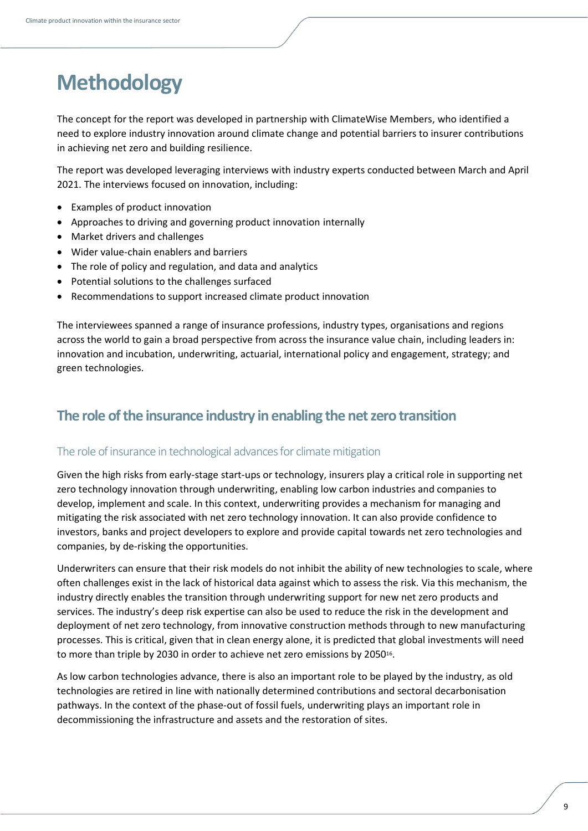# <span id="page-8-0"></span>**Methodology**

The concept for the report was developed in partnership with ClimateWise Members, who identified a need to explore industry innovation around climate change and potential barriers to insurer contributions in achieving net zero and building resilience.

The report was developed leveraging interviews with industry experts conducted between March and April 2021. The interviews focused on innovation, including:

- Examples of product innovation
- Approaches to driving and governing product innovation internally
- Market drivers and challenges
- Wider value-chain enablers and barriers
- The role of policy and regulation, and data and analytics
- Potential solutions to the challenges surfaced
- Recommendations to support increased climate product innovation

The interviewees spanned a range of insurance professions, industry types, organisations and regions across the world to gain a broad perspective from across the insurance value chain, including leaders in: innovation and incubation, underwriting, actuarial, international policy and engagement, strategy; and green technologies.

## <span id="page-8-1"></span>**The role of the insurance industry in enabling the net zero transition**

#### The role of insurance in technological advances for climate mitigation

Given the high risks from early-stage start-ups or technology, insurers play a critical role in supporting net zero technology innovation through underwriting, enabling low carbon industries and companies to develop, implement and scale. In this context, underwriting provides a mechanism for managing and mitigating the risk associated with net zero technology innovation. It can also provide confidence to investors, banks and project developers to explore and provide capital towards net zero technologies and companies, by de-risking the opportunities.

Underwriters can ensure that their risk models do not inhibit the ability of new technologies to scale, where often challenges exist in the lack of historical data against which to assess the risk. Via this mechanism, the industry directly enables the transition through underwriting support for new net zero products and services. The industry's deep risk expertise can also be used to reduce the risk in the development and deployment of net zero technology, from innovative construction methods through to new manufacturing processes. This is critical, given that in clean energy alone, it is predicted that global investments will need to more than triple by 2030 in order to achieve net zero emissions by 2050<sup>16</sup>.

As low carbon technologies advance, there is also an important role to be played by the industry, as old technologies are retired in line with nationally determined contributions and sectoral decarbonisation pathways. In the context of the phase-out of fossil fuels, underwriting plays an important role in decommissioning the infrastructure and assets and the restoration of sites.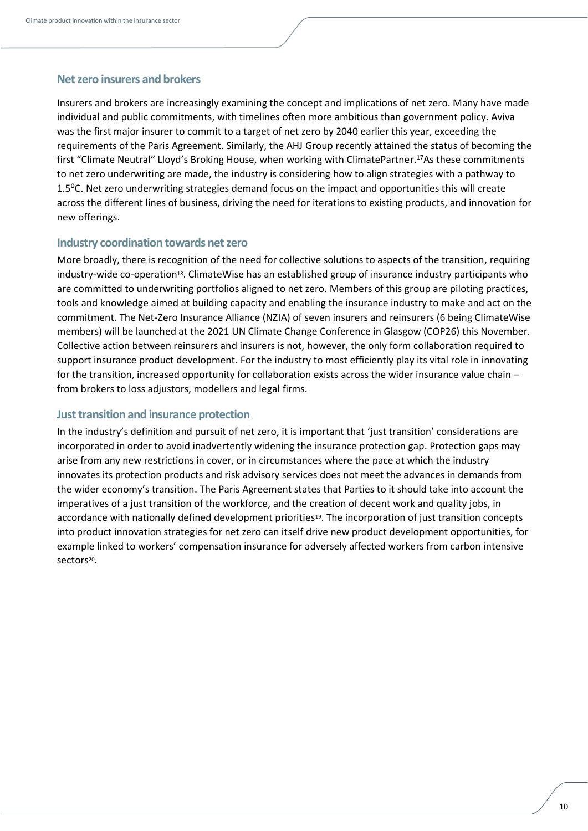#### **Net zero insurers and brokers**

Insurers and brokers are increasingly examining the concept and implications of net zero. Many have made individual and public commitments, with timelines often more ambitious than government policy. Aviva was the first major insurer to commit to a target of net zero by 2040 earlier this year, exceeding the requirements of the Paris Agreement. Similarly, the AHJ Group recently attained the status of becoming the first "Climate Neutral" Lloyd's Broking House, when working with ClimatePartner. <sup>17</sup>As these commitments to net zero underwriting are made, the industry is considering how to align strategies with a pathway to 1.5⁰C. Net zero underwriting strategies demand focus on the impact and opportunities this will create across the different lines of business, driving the need for iterations to existing products, and innovation for new offerings.

#### **Industry coordination towards net zero**

More broadly, there is recognition of the need for collective solutions to aspects of the transition, requiring industry-wide co-operation<sup>18</sup>. ClimateWise has an established group of insurance industry participants who are committed to underwriting portfolios aligned to net zero. Members of this group are piloting practices, tools and knowledge aimed at building capacity and enabling the insurance industry to make and act on the commitment. The Net-Zero Insurance Alliance (NZIA) of seven insurers and reinsurers (6 being ClimateWise members) will be launched at the 2021 UN Climate Change Conference in Glasgow (COP26) this November. Collective action between reinsurers and insurers is not, however, the only form collaboration required to support insurance product development. For the industry to most efficiently play its vital role in innovating for the transition, increased opportunity for collaboration exists across the wider insurance value chain – from brokers to loss adjustors, modellers and legal firms.

#### **Just transition and insurance protection**

In the industry's definition and pursuit of net zero, it is important that 'just transition' considerations are incorporated in order to avoid inadvertently widening the insurance protection gap. Protection gaps may arise from any new restrictions in cover, or in circumstances where the pace at which the industry innovates its protection products and risk advisory services does not meet the advances in demands from the wider economy's transition. The Paris Agreement states that Parties to it should take into account the imperatives of a just transition of the workforce, and the creation of decent work and quality jobs, in accordance with nationally defined development priorities<sup>19</sup>. The incorporation of just transition concepts into product innovation strategies for net zero can itself drive new product development opportunities, for example linked to workers' compensation insurance for adversely affected workers from carbon intensive sectors<sup>20</sup>.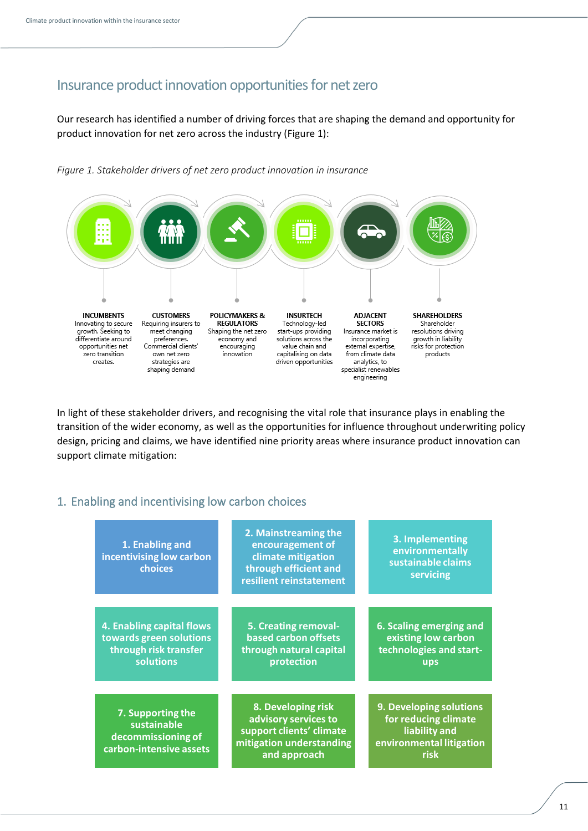### <span id="page-10-0"></span>Insurance product innovation opportunities for net zero

Our research has identified a number of driving forces that are shaping the demand and opportunity for product innovation for net zero across the industry (Figure 1):



*Figure 1. Stakeholder drivers of net zero product innovation in insurance*

In light of these stakeholder drivers, and recognising the vital role that insurance plays in enabling the transition of the wider economy, as well as the opportunities for influence throughout underwriting policy design, pricing and claims, we have identified nine priority areas where insurance product innovation can support climate mitigation:

### 1. Enabling and incentivising low carbon choices

| 1. Enabling and<br>incentivising low carbon<br>choices                                     | 2. Mainstreaming the<br>encouragement of<br>climate mitigation<br>through efficient and<br>resilient reinstatement | 3. Implementing<br>environmentally<br>sustainable claims<br>servicing                                |
|--------------------------------------------------------------------------------------------|--------------------------------------------------------------------------------------------------------------------|------------------------------------------------------------------------------------------------------|
| 4. Enabling capital flows<br>towards green solutions<br>through risk transfer<br>solutions | 5. Creating removal-<br>based carbon offsets<br>through natural capital<br>protection                              | 6. Scaling emerging and<br>existing low carbon<br>technologies and start-<br>ups                     |
| 7. Supporting the<br>sustainable<br>decommissioning of<br>carbon-intensive assets          | 8. Developing risk<br>advisory services to<br>support clients' climate<br>mitigation understanding<br>and approach | 9. Developing solutions<br>for reducing climate<br>liability and<br>environmental litigation<br>risk |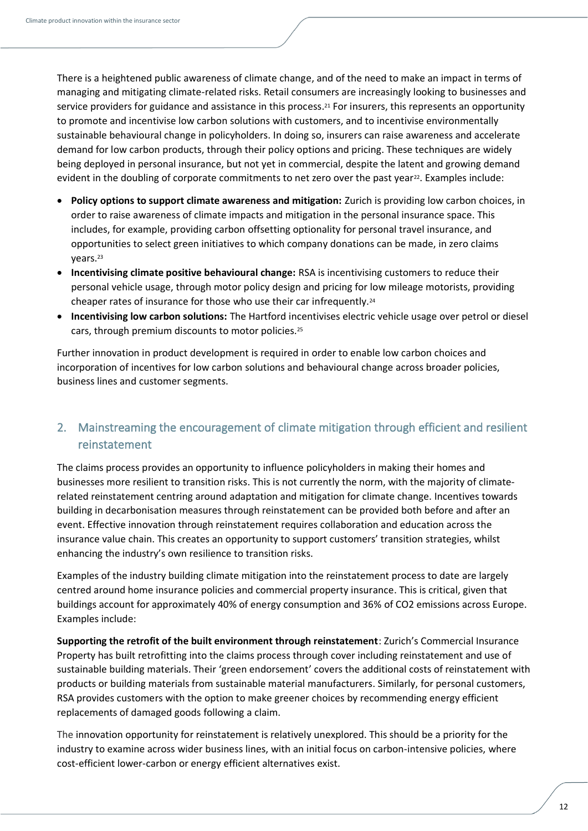There is a heightened public awareness of climate change, and of the need to make an impact in terms of managing and mitigating climate-related risks. Retail consumers are increasingly looking to businesses and service providers for guidance and assistance in this process.<sup>21</sup> For insurers, this represents an opportunity to promote and incentivise low carbon solutions with customers, and to incentivise environmentally sustainable behavioural change in policyholders. In doing so, insurers can raise awareness and accelerate demand for low carbon products, through their policy options and pricing. These techniques are widely being deployed in personal insurance, but not yet in commercial, despite the latent and growing demand evident in the doubling of corporate commitments to net zero over the past year<sup>22</sup>. Examples include:

- **Policy options to support climate awareness and mitigation:** Zurich is providing low carbon choices, in order to raise awareness of climate impacts and mitigation in the personal insurance space. This includes, for example, providing carbon offsetting optionality for personal travel insurance, and opportunities to select green initiatives to which company donations can be made, in zero claims years.<sup>23</sup>
- **Incentivising climate positive behavioural change:** RSA is incentivising customers to reduce their personal vehicle usage, through motor policy design and pricing for low mileage motorists, providing cheaper rates of insurance for those who use their car infrequently.<sup>24</sup>
- **Incentivising low carbon solutions:** The Hartford incentivises electric vehicle usage over petrol or diesel cars, through premium discounts to motor policies.<sup>25</sup>

Further innovation in product development is required in order to enable low carbon choices and incorporation of incentives for low carbon solutions and behavioural change across broader policies, business lines and customer segments.

### 2. Mainstreaming the encouragement of climate mitigation through efficient and resilient reinstatement

The claims process provides an opportunity to influence policyholders in making their homes and businesses more resilient to transition risks. This is not currently the norm, with the majority of climaterelated reinstatement centring around adaptation and mitigation for climate change. Incentives towards building in decarbonisation measures through reinstatement can be provided both before and after an event. Effective innovation through reinstatement requires collaboration and education across the insurance value chain. This creates an opportunity to support customers' transition strategies, whilst enhancing the industry's own resilience to transition risks.

Examples of the industry building climate mitigation into the reinstatement process to date are largely centred around home insurance policies and commercial property insurance. This is critical, given that buildings account for approximately 40% of energy consumption and 36% of CO2 emissions across Europe. Examples include:

**Supporting the retrofit of the built environment through reinstatement**: Zurich's Commercial Insurance Property has built retrofitting into the claims process through cover including reinstatement and use of sustainable building materials. Their 'green endorsement' covers the additional costs of reinstatement with products or building materials from sustainable material manufacturers. Similarly, for personal customers, RSA provides customers with the option to make greener choices by recommending energy efficient replacements of damaged goods following a claim.

The innovation opportunity for reinstatement is relatively unexplored. This should be a priority for the industry to examine across wider business lines, with an initial focus on carbon-intensive policies, where cost-efficient lower-carbon or energy efficient alternatives exist.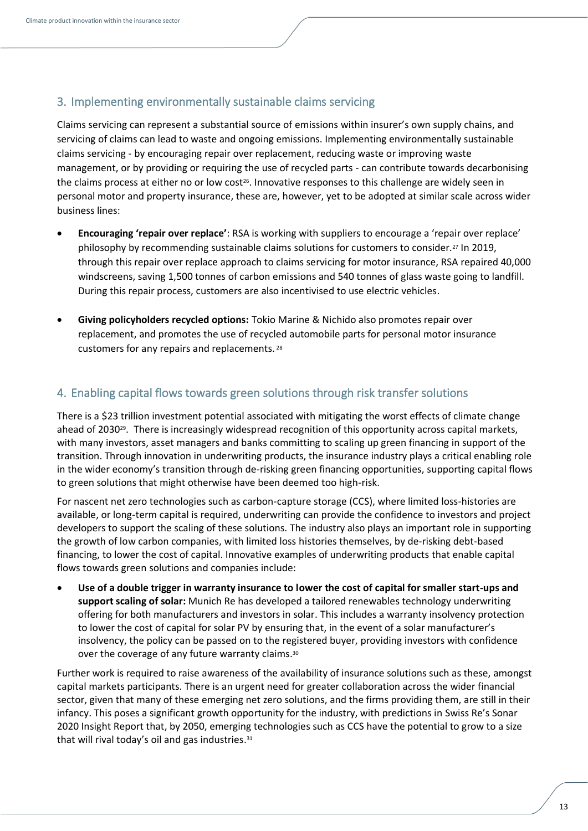### 3. Implementing environmentally sustainable claims servicing

Claims servicing can represent a substantial source of emissions within insurer's own supply chains, and servicing of claims can lead to waste and ongoing emissions. Implementing environmentally sustainable claims servicing - by encouraging repair over replacement, reducing waste or improving waste management, or by providing or requiring the use of recycled parts - can contribute towards decarbonising the claims process at either no or low cost<sup>26</sup>. Innovative responses to this challenge are widely seen in personal motor and property insurance, these are, however, yet to be adopted at similar scale across wider business lines:

- **Encouraging 'repair over replace'**: RSA is working with suppliers to encourage a 'repair over replace' philosophy by recommending sustainable claims solutions for customers to consider.<sup>27</sup> In 2019, through this repair over replace approach to claims servicing for motor insurance, RSA repaired 40,000 windscreens, saving 1,500 tonnes of carbon emissions and 540 tonnes of glass waste going to landfill. During this repair process, customers are also incentivised to use electric vehicles.
- **Giving policyholders recycled options:** Tokio Marine & Nichido also promotes repair over replacement, and promotes the use of recycled automobile parts for personal motor insurance customers for any repairs and replacements. <sup>28</sup>

### 4. Enabling capital flows towards green solutions through risk transfer solutions

There is a \$23 trillion investment potential associated with mitigating the worst effects of climate change ahead of 2030<sup>29</sup>. There is increasingly widespread recognition of this opportunity across capital markets, with many investors, asset managers and banks committing to scaling up green financing in support of the transition. Through innovation in underwriting products, the insurance industry plays a critical enabling role in the wider economy's transition through de-risking green financing opportunities, supporting capital flows to green solutions that might otherwise have been deemed too high-risk.

For nascent net zero technologies such as carbon-capture storage (CCS), where limited loss-histories are available, or long-term capital is required, underwriting can provide the confidence to investors and project developers to support the scaling of these solutions. The industry also plays an important role in supporting the growth of low carbon companies, with limited loss histories themselves, by de-risking debt-based financing, to lower the cost of capital. Innovative examples of underwriting products that enable capital flows towards green solutions and companies include:

• **Use of a double trigger in warranty insurance to lower the cost of capital for smaller start-ups and support scaling of solar:** Munich Re has developed a tailored renewables technology underwriting offering for both manufacturers and investors in solar. This includes a warranty insolvency protection to lower the cost of capital for solar PV by ensuring that, in the event of a solar manufacturer's insolvency, the policy can be passed on to the registered buyer, providing investors with confidence over the coverage of any future warranty claims.<sup>30</sup>

Further work is required to raise awareness of the availability of insurance solutions such as these, amongst capital markets participants. There is an urgent need for greater collaboration across the wider financial sector, given that many of these emerging net zero solutions, and the firms providing them, are still in their infancy. This poses a significant growth opportunity for the industry, with predictions in Swiss Re's Sonar 2020 Insight Report that, by 2050, emerging technologies such as CCS have the potential to grow to a size that will rival today's oil and gas industries.<sup>31</sup>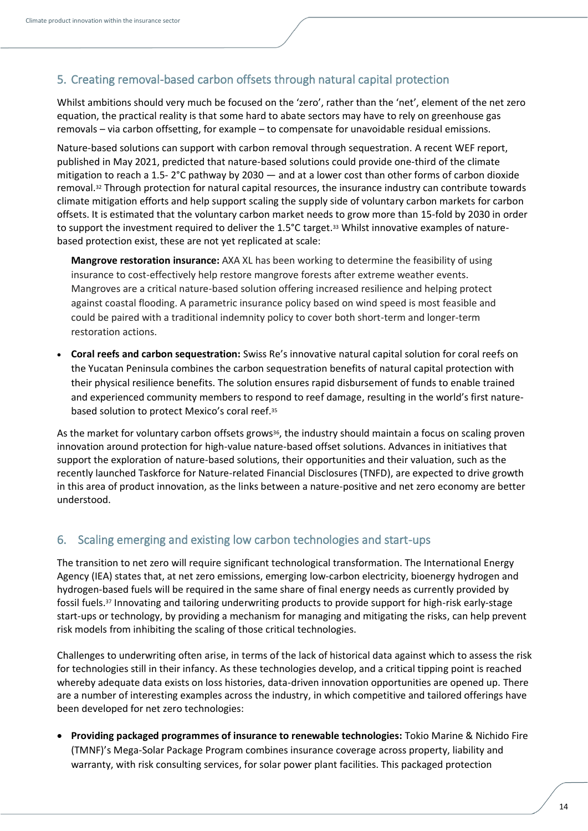### 5. Creating removal-based carbon offsets through natural capital protection

Whilst ambitions should very much be focused on the 'zero', rather than the 'net', element of the net zero equation, the practical reality is that some hard to abate sectors may have to rely on greenhouse gas removals – via carbon offsetting, for example – to compensate for unavoidable residual emissions.

Nature-based solutions can support with carbon removal through sequestration. A recent WEF report, published in May 2021, predicted that nature-based solutions could provide one-third of the climate mitigation to reach a 1.5- 2°C pathway by 2030 — and at a lower cost than other forms of carbon dioxide removal. <sup>32</sup> Through protection for natural capital resources, the insurance industry can contribute towards climate mitigation efforts and help support scaling the supply side of voluntary carbon markets for carbon offsets. It is estimated that the voluntary carbon market needs to grow more than 15-fold by 2030 in order to support the investment required to deliver the 1.5°C target. <sup>33</sup> Whilst innovative examples of naturebased protection exist, these are not yet replicated at scale:

**Mangrove restoration insurance:** AXA XL has been working to determine the feasibility of using insurance to cost-effectively help restore mangrove forests after extreme weather events. Mangroves are a critical nature-based solution offering increased resilience and helping protect against coastal flooding. A parametric insurance policy based on wind speed is most feasible and could be paired with a traditional indemnity policy to cover both short-term and longer-term restoration actions.

• **Coral reefs and carbon sequestration:** Swiss Re's innovative natural capital solution for coral reefs on the Yucatan Peninsula combines the carbon sequestration benefits of natural capital protection with their physical resilience benefits. The solution ensures rapid disbursement of funds to enable trained and experienced community members to respond to reef damage, resulting in the world's first naturebased solution to protect Mexico's coral reef. 35

As the market for voluntary carbon offsets grows<sup>36</sup>, the industry should maintain a focus on scaling proven innovation around protection for high-value nature-based offset solutions. Advances in initiatives that support the exploration of nature-based solutions, their opportunities and their valuation, such as the recently launched Taskforce for Nature-related Financial Disclosures (TNFD), are expected to drive growth in this area of product innovation, as the links between a nature-positive and net zero economy are better understood.

### 6. Scaling emerging and existing low carbon technologies and start-ups

The transition to net zero will require significant technological transformation. The International Energy Agency (IEA) states that, at net zero emissions, emerging low-carbon electricity, bioenergy hydrogen and hydrogen-based fuels will be required in the same share of final energy needs as currently provided by fossil fuels. 37 Innovating and tailoring underwriting products to provide support for high-risk early-stage start-ups or technology, by providing a mechanism for managing and mitigating the risks, can help prevent risk models from inhibiting the scaling of those critical technologies.

Challenges to underwriting often arise, in terms of the lack of historical data against which to assess the risk for technologies still in their infancy. As these technologies develop, and a critical tipping point is reached whereby adequate data exists on loss histories, data-driven innovation opportunities are opened up. There are a number of interesting examples across the industry, in which competitive and tailored offerings have been developed for net zero technologies:

• **Providing packaged programmes of insurance to renewable technologies:** Tokio Marine & Nichido Fire (TMNF)'s Mega-Solar Package Program combines insurance coverage across property, liability and warranty, with risk consulting services, for solar power plant facilities. This packaged protection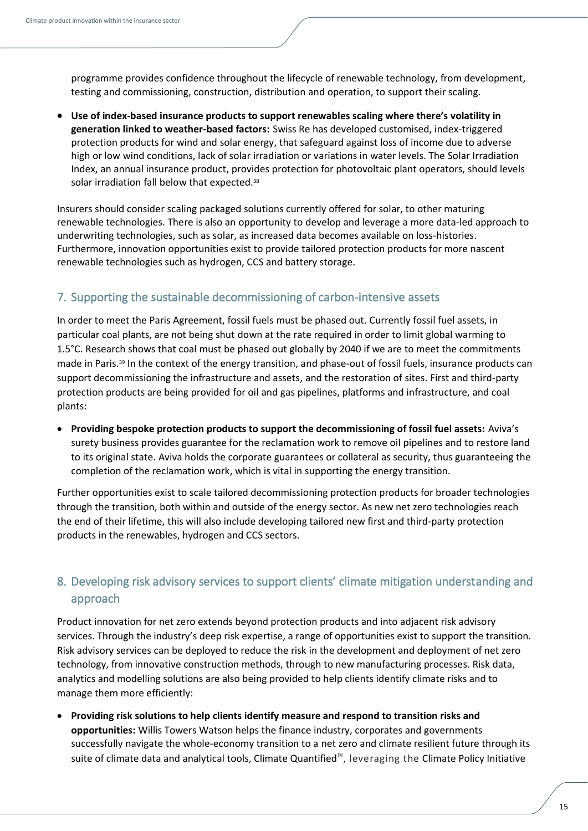programme provides confidence throughout the lifecycle of renewable technology, from development, testing and commissioning, construction, distribution and operation, to support their scaling.

• **Use of index-based insurance products to support renewables scaling where there's volatility in generation linked to weather-based factors:** Swiss Re has developed customised, index-triggered protection products for wind and solar energy, that safeguard against loss of income due to adverse high or low wind conditions, lack of solar irradiation or variations in water levels. The Solar Irradiation Index, an annual insurance product, provides protection for photovoltaic plant operators, should levels solar irradiation fall below that expected.<sup>38</sup>

Insurers should consider scaling packaged solutions currently offered for solar, to other maturing renewable technologies. There is also an opportunity to develop and leverage a more data-led approach to underwriting technologies, such as solar, as increased data becomes available on loss-histories. Furthermore, innovation opportunities exist to provide tailored protection products for more nascent renewable technologies such as hydrogen, CCS and battery storage.

### 7. Supporting the sustainable decommissioning of carbon-intensive assets

In order to meet the Paris Agreement, fossil fuels must be phased out. Currently fossil fuel assets, in particular coal plants, are not being shut down at the rate required in order to limit global warming to 1.5°C. Research shows that coal must be phased out globally by 2040 if we are to meet the commitments made in Paris. <sup>39</sup> In the context of the energy transition, and phase-out of fossil fuels, insurance products can support decommissioning the infrastructure and assets, and the restoration of sites. First and third-party protection products are being provided for oil and gas pipelines, platforms and infrastructure, and coal plants:

• **Providing bespoke protection products to support the decommissioning of fossil fuel assets:** Aviva's surety business provides guarantee for the reclamation work to remove oil pipelines and to restore land to its original state. Aviva holds the corporate guarantees or collateral as security, thus guaranteeing the completion of the reclamation work, which is vital in supporting the energy transition.

Further opportunities exist to scale tailored decommissioning protection products for broader technologies through the transition, both within and outside of the energy sector. As new net zero technologies reach the end of their lifetime, this will also include developing tailored new first and third-party protection products in the renewables, hydrogen and CCS sectors.

### 8. Developing risk advisory services to support clients' climate mitigation understanding and approach

Product innovation for net zero extends beyond protection products and into adjacent risk advisory services. Through the industry's deep risk expertise, a range of opportunities exist to support the transition. Risk advisory services can be deployed to reduce the risk in the development and deployment of net zero technology, from innovative construction methods, through to new manufacturing processes. Risk data, analytics and modelling solutions are also being provided to help clients identify climate risks and to manage them more efficiently:

• **Providing risk solutions to help clients identify measure and respond to transition risks and opportunities:** Willis Towers Watson helps the finance industry, corporates and governments successfully navigate the whole-economy transition to a net zero and climate resilient future through its suite of climate data and analytical tools, Climate Quantified<sup>™</sup>, leveraging the Climate Policy Initiative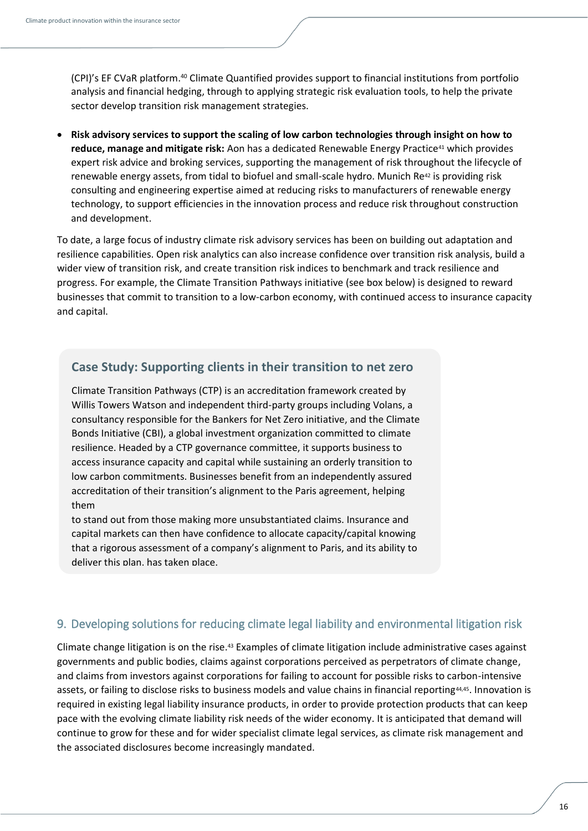(CPI)'s EF CVaR platform. <sup>40</sup> Climate Quantified provides support to financial institutions from portfolio analysis and financial hedging, through to applying strategic risk evaluation tools, to help the private sector develop transition risk management strategies.

• **Risk advisory services to support the scaling of low carbon technologies through insight on how to reduce, manage and mitigate risk:** Aon has a dedicated Renewable Energy Practice<sup>41</sup> which provides expert risk advice and broking services, supporting the management of risk throughout the lifecycle of renewable energy assets, from tidal to biofuel and small-scale hydro. Munich Re<sup>42</sup> is providing risk consulting and engineering expertise aimed at reducing risks to manufacturers of renewable energy technology, to support efficiencies in the innovation process and reduce risk throughout construction and development.

To date, a large focus of industry climate risk advisory services has been on building out adaptation and resilience capabilities. Open risk analytics can also increase confidence over transition risk analysis, build a wider view of transition risk, and create transition risk indices to benchmark and track resilience and progress. For example, the Climate Transition Pathways initiative (see box below) is designed to reward businesses that commit to transition to a low-carbon economy, with continued access to insurance capacity and capital.

### **Case Study: Supporting clients in their transition to net zero**

Climate Transition Pathways (CTP) is an accreditation framework created by Willis Towers Watson and independent third-party groups including Volans, a consultancy responsible for the Bankers for Net Zero initiative, and the Climate Bonds Initiative (CBI), a global investment organization committed to climate resilience. Headed by a CTP governance committee, it supports business to access insurance capacity and capital while sustaining an orderly transition to low carbon commitments. Businesses benefit from an independently assured accreditation of their transition's alignment to the Paris agreement, helping them

to stand out from those making more unsubstantiated claims. Insurance and capital markets can then have confidence to allocate capacity/capital knowing that a rigorous assessment of a company's alignment to Paris, and its ability to deliver this plan, has taken place.

### 9. Developing solutions for reducing climate legal liability and environmental litigation risk

Climate change litigation is on the rise.<sup>43</sup> Examples of climate litigation include administrative cases against governments and public bodies, claims against corporations perceived as perpetrators of climate change, and claims from investors against corporations for failing to account for possible risks to carbon-intensive assets, or failing to disclose risks to business models and value chains in financial reporting<sup>44,45</sup>. Innovation is required in existing legal liability insurance products, in order to provide protection products that can keep pace with the evolving climate liability risk needs of the wider economy. It is anticipated that demand will continue to grow for these and for wider specialist climate legal services, as climate risk management and the associated disclosures become increasingly mandated.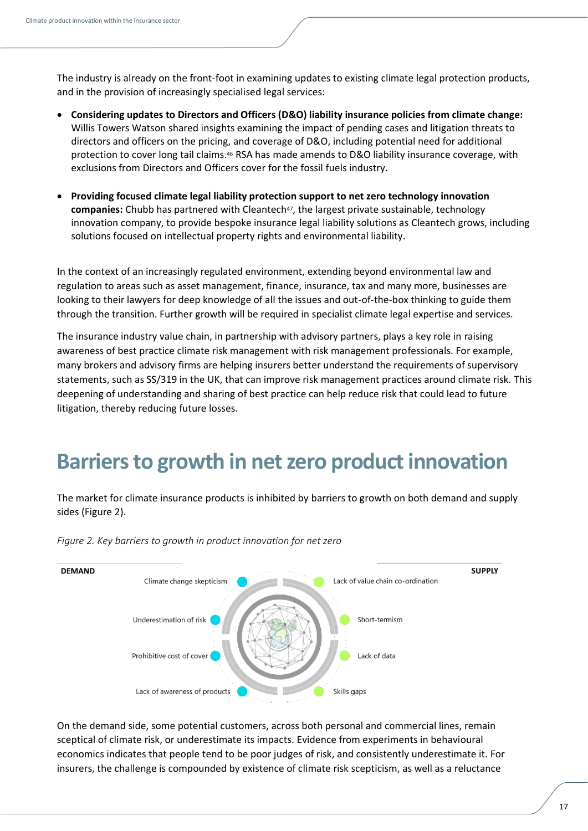The industry is already on the front-foot in examining updates to existing climate legal protection products, and in the provision of increasingly specialised legal services:

- **Considering updates to Directors and Officers (D&O) liability insurance policies from climate change:**  Willis Towers Watson shared insights examining the impact of pending cases and litigation threats to directors and officers on the pricing, and coverage of D&O, including potential need for additional protection to cover long tail claims. <sup>46</sup> RSA has made amends to D&O liability insurance coverage, with exclusions from Directors and Officers cover for the fossil fuels industry.
- **Providing focused climate legal liability protection support to net zero technology innovation**  companies: Chubb has partnered with Cleantech<sup>47</sup>, the largest private sustainable, technology innovation company, to provide bespoke insurance legal liability solutions as Cleantech grows, including solutions focused on intellectual property rights and environmental liability.

In the context of an increasingly regulated environment, extending beyond environmental law and regulation to areas such as asset management, finance, insurance, tax and many more, businesses are looking to their lawyers for deep knowledge of all the issues and out-of-the-box thinking to guide them through the transition. Further growth will be required in specialist climate legal expertise and services.

The insurance industry value chain, in partnership with advisory partners, plays a key role in raising awareness of best practice climate risk management with risk management professionals. For example, many brokers and advisory firms are helping insurers better understand the requirements of supervisory statements, such as SS/319 in the UK, that can improve risk management practices around climate risk. This deepening of understanding and sharing of best practice can help reduce risk that could lead to future litigation, thereby reducing future losses.

## <span id="page-16-0"></span>**Barriers to growth in net zero product innovation**

The market for climate insurance products is inhibited by barriers to growth on both demand and supply sides (Figure 2).



*Figure 2. Key barriers to growth in product innovation for net zero*

On the demand side, some potential customers, across both personal and commercial lines, remain sceptical of climate risk, or underestimate its impacts. Evidence from experiments in behavioural economics indicates that people tend to be poor judges of risk, and consistently underestimate it. For insurers, the challenge is compounded by existence of climate risk scepticism, as well as a reluctance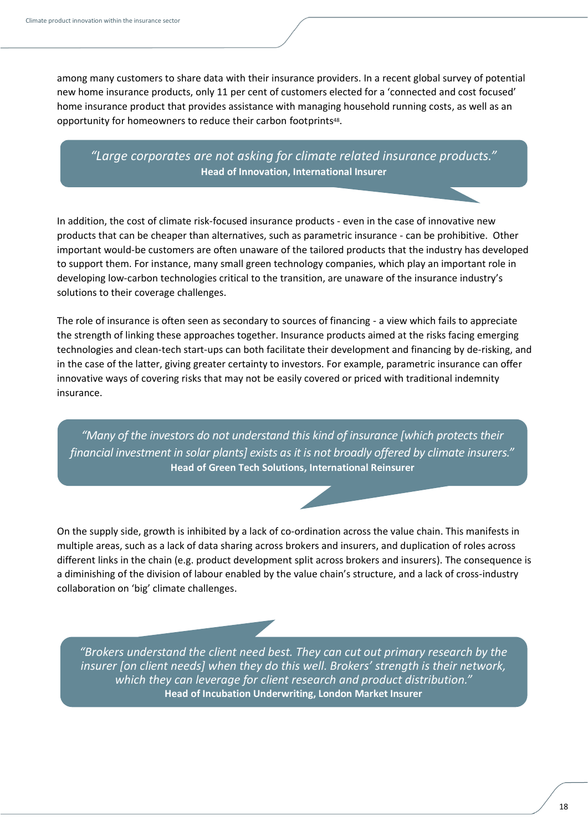among many customers to share data with their insurance providers. In a recent global survey of potential new home insurance products, only 11 per cent of customers elected for a 'connected and cost focused' home insurance product that provides assistance with managing household running costs, as well as an opportunity for homeowners to reduce their carbon footprints<sup>48</sup>.

*"Large corporates are not asking for climate related insurance products."* **Head of Innovation, International Insurer**

In addition, the cost of climate risk-focused insurance products - even in the case of innovative new products that can be cheaper than alternatives, such as parametric insurance - can be prohibitive. Other important would-be customers are often unaware of the tailored products that the industry has developed to support them. For instance, many small green technology companies, which play an important role in developing low-carbon technologies critical to the transition, are unaware of the insurance industry's solutions to their coverage challenges.

The role of insurance is often seen as secondary to sources of financing - a view which fails to appreciate the strength of linking these approaches together. Insurance products aimed at the risks facing emerging technologies and clean-tech start-ups can both facilitate their development and financing by de-risking, and in the case of the latter, giving greater certainty to investors. For example, parametric insurance can offer innovative ways of covering risks that may not be easily covered or priced with traditional indemnity insurance.

*"Many of the investors do not understand this kind of insurance [which protects their financial investment in solar plants] exists as it is not broadly offered by climate insurers."* **Head of Green Tech Solutions, International Reinsurer**

On the supply side, growth is inhibited by a lack of co-ordination across the value chain. This manifests in multiple areas, such as a lack of data sharing across brokers and insurers, and duplication of roles across different links in the chain (e.g. product development split across brokers and insurers). The consequence is a diminishing of the division of labour enabled by the value chain's structure, and a lack of cross-industry collaboration on 'big' climate challenges.

*"Brokers understand the client need best. They can cut out primary research by the insurer [on client needs] when they do this well. Brokers' strength is their network, which they can leverage for client research and product distribution."* **Head of Incubation Underwriting, London Market Insurer**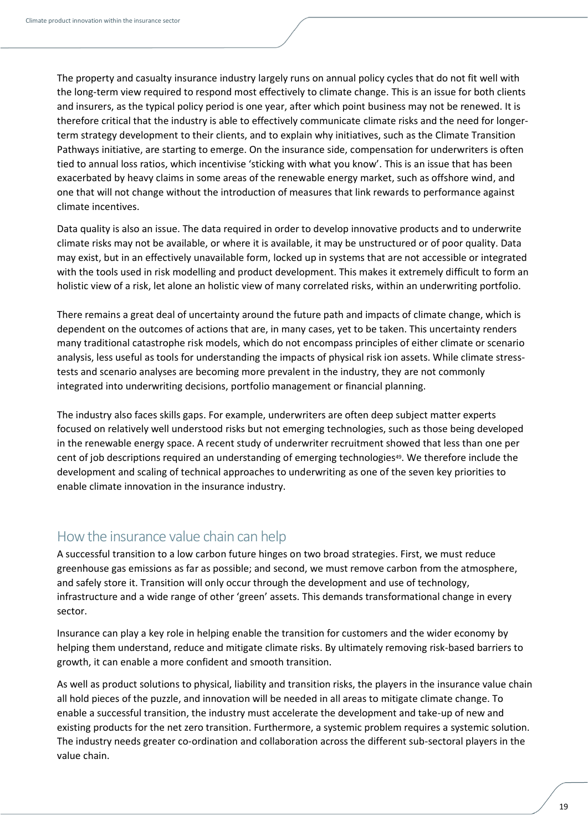The property and casualty insurance industry largely runs on annual policy cycles that do not fit well with the long-term view required to respond most effectively to climate change. This is an issue for both clients and insurers, as the typical policy period is one year, after which point business may not be renewed. It is therefore critical that the industry is able to effectively communicate climate risks and the need for longerterm strategy development to their clients, and to explain why initiatives, such as the [Climate Transition](https://www.willistowerswatson.com/en-GB/News/2021/05/groundbreaking-climate-transition-pathways-ctp-accreditation-established-to-help-business)  [Pathways](https://www.willistowerswatson.com/en-GB/News/2021/05/groundbreaking-climate-transition-pathways-ctp-accreditation-established-to-help-business) initiative, are starting to emerge. On the insurance side, compensation for underwriters is often tied to annual loss ratios, which incentivise 'sticking with what you know'. This is an issue that has been exacerbated by heavy claims in some areas of the renewable energy market, such as offshore wind, and one that will not change without the introduction of measures that link rewards to performance against climate incentives.

Data quality is also an issue. The data required in order to develop innovative products and to underwrite climate risks may not be available, or where it is available, it may be unstructured or of poor quality. Data may exist, but in an effectively unavailable form, locked up in systems that are not accessible or integrated with the tools used in risk modelling and product development. This makes it extremely difficult to form an holistic view of a risk, let alone an holistic view of many correlated risks, within an underwriting portfolio.

There remains a great deal of uncertainty around the future path and impacts of climate change, which is dependent on the outcomes of actions that are, in many cases, yet to be taken. This uncertainty renders many traditional catastrophe risk models, which do not encompass principles of either climate or scenario analysis, less useful as tools for understanding the impacts of physical risk ion assets. While climate stresstests and scenario analyses are becoming more prevalent in the industry, they are not commonly integrated into underwriting decisions, portfolio management or financial planning.

The industry also faces skills gaps. For example, underwriters are often deep subject matter experts focused on relatively well understood risks but not emerging technologies, such as those being developed in the renewable energy space. A recent study of underwriter recruitment showed that less than one per cent of job descriptions required an understanding of emerging technologies<sup>49</sup>. We therefore include the development and scaling of technical approaches to underwriting as one of the seven key priorities to enable climate innovation in the insurance industry.

### <span id="page-18-0"></span>How the insurance value chain can help

A successful transition to a low carbon future hinges on two broad strategies. First, we must reduce greenhouse gas emissions as far as possible; and second, we must remove carbon from the atmosphere, and safely store it. Transition will only occur through the development and use of technology, infrastructure and a wide range of other 'green' assets. This demands transformational change in every sector.

Insurance can play a key role in helping enable the transition for customers and the wider economy by helping them understand, reduce and mitigate climate risks. By ultimately removing risk-based barriers to growth, it can enable a more confident and smooth transition.

As well as product solutions to physical, liability and transition risks, the players in the insurance value chain all hold pieces of the puzzle, and innovation will be needed in all areas to mitigate climate change. To enable a successful transition, the industry must accelerate the development and take-up of new and existing products for the net zero transition. Furthermore, a systemic problem requires a systemic solution. The industry needs greater co-ordination and collaboration across the different sub-sectoral players in the value chain.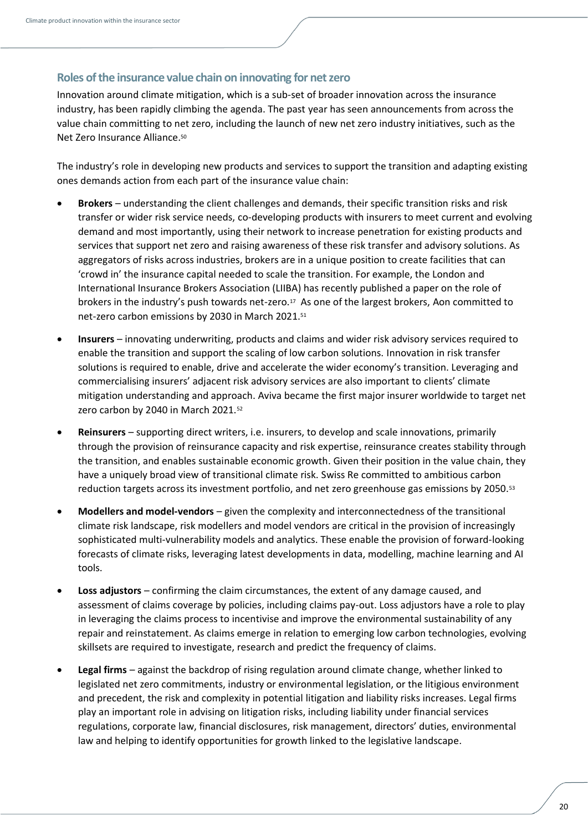#### **Roles of the insurance value chain on innovating for net zero**

Innovation around climate mitigation, which is a sub-set of broader innovation across the insurance industry, has been rapidly climbing the agenda. The past year has seen announcements from across the value chain committing to net zero, including the launch of new net zero industry initiatives, such as the Net Zero Insurance Alliance. 50

The industry's role in developing new products and services to support the transition and adapting existing ones demands action from each part of the insurance value chain:

- **Brokers** understanding the client challenges and demands, their specific transition risks and risk transfer or wider risk service needs, co-developing products with insurers to meet current and evolving demand and most importantly, using their network to increase penetration for existing products and services that support net zero and raising awareness of these risk transfer and advisory solutions. As aggregators of risks across industries, brokers are in a unique position to create facilities that can 'crowd in' the insurance capital needed to scale the transition. For example, the London and International Insurance Brokers Association (LIIBA) has recently published a paper on the role of brokers in the industry's push towards net-zero.<sup>17</sup> As one of the largest brokers, Aon committed to net-zero carbon emissions by 2030 in March 2021.<sup>51</sup>
- **Insurers** innovating underwriting, products and claims and wider risk advisory services required to enable the transition and support the scaling of low carbon solutions. Innovation in risk transfer solutions is required to enable, drive and accelerate the wider economy's transition. Leveraging and commercialising insurers' adjacent risk advisory services are also important to clients' climate mitigation understanding and approach. Aviva became the first major insurer worldwide to target net zero carbon by 2040 in March 2021.<sup>52</sup>
- **Reinsurers** supporting direct writers, i.e. insurers, to develop and scale innovations, primarily through the provision of reinsurance capacity and risk expertise, reinsurance creates stability through the transition, and enables sustainable economic growth. Given their position in the value chain, they have a uniquely broad view of transitional climate risk. Swiss Re committed to ambitious carbon reduction targets across its investment portfolio, and net zero greenhouse gas emissions by 2050.<sup>53</sup>
- **Modellers and model-vendors** given the complexity and interconnectedness of the transitional climate risk landscape, risk modellers and model vendors are critical in the provision of increasingly sophisticated multi-vulnerability models and analytics. These enable the provision of forward-looking forecasts of climate risks, leveraging latest developments in data, modelling, machine learning and AI tools.
- **Loss adjustors** confirming the [claim](https://www.abi.org.uk/link/1e737ed948404d5cbf0e664dff808ea6.aspx) circumstances, the extent of any damage caused, and assessment of claims coverage by policies, including claims pay-out. Loss adjustors have a role to play in leveraging the claims process to incentivise and improve the environmental sustainability of any repair and reinstatement. As claims emerge in relation to emerging low carbon technologies, evolving skillsets are required to investigate, research and predict the frequency of claims.
- **Legal firms** against the backdrop of rising regulation around climate change, whether linked to legislated net zero commitments, industry or environmental legislation, or the litigious environment and precedent, the risk and complexity in potential litigation and liability risks increases. Legal firms play an important role in advising on litigation risks, including liability under financial services regulations, corporate law, financial disclosures, risk management, directors' duties, environmental law and helping to identify opportunities for growth linked to the legislative landscape.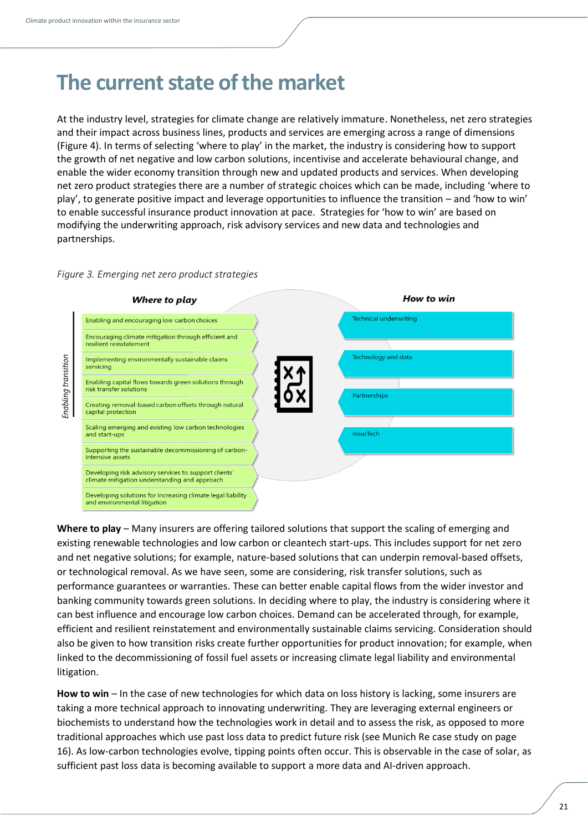## <span id="page-20-0"></span>**The current state of the market**

At the industry level, strategies for climate change are relatively immature. Nonetheless, net zero strategies and their impact across business lines, products and services are emerging across a range of dimensions (Figure 4). In terms of selecting 'where to play' in the market, the industry is considering how to support the growth of net negative and low carbon solutions, incentivise and accelerate behavioural change, and enable the wider economy transition through new and updated products and services. When developing net zero product strategies there are a number of strategic choices which can be made, including 'where to play', to generate positive impact and leverage opportunities to influence the transition – and 'how to win' to enable successful insurance product innovation at pace. Strategies for 'how to win' are based on modifying the underwriting approach, risk advisory services and new data and technologies and partnerships.



#### *Figure 3. Emerging net zero product strategies*

**Where to play** – Many insurers are offering tailored solutions that support the scaling of emerging and existing renewable technologies and low carbon or cleantech start-ups. This includes support for net zero and net negative solutions; for example, nature-based solutions that can underpin removal-based offsets, or technological removal. As we have seen, some are considering, risk transfer solutions, such as performance guarantees or warranties. These can better enable capital flows from the wider investor and banking community towards green solutions. In deciding where to play, the industry is considering where it can best influence and encourage low carbon choices. Demand can be accelerated through, for example, efficient and resilient reinstatement and environmentally sustainable claims servicing. Consideration should also be given to how transition risks create further opportunities for product innovation; for example, when linked to the decommissioning of fossil fuel assets or increasing climate legal liability and environmental litigation.

**How to win** – In the case of new technologies for which data on loss history is lacking, some insurers are taking a more technical approach to innovating underwriting. They are leveraging external engineers or biochemists to understand how the technologies work in detail and to assess the risk, as opposed to more traditional approaches which use past loss data to predict future risk (see Munich Re case study on page 16). As low-carbon technologies evolve, tipping points often occur. This is observable in the case of solar, as sufficient past loss data is becoming available to support a more data and AI-driven approach.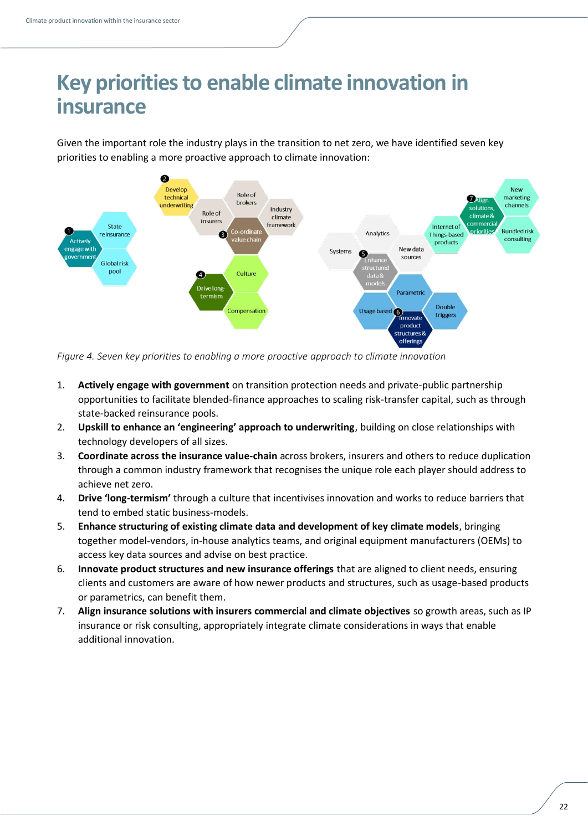## <span id="page-21-0"></span>**Key priorities to enable climate innovation in insurance**

Given the important role the industry plays in the transition to net zero, we have identified seven key priorities to enabling a more proactive approach to climate innovation:



*Figure 4. Seven key priorities to enabling a more proactive approach to climate innovation*

- 1. **Actively engage with government** on transition protection needs and private-public partnership opportunities to facilitate blended-finance approaches to scaling risk-transfer capital, such as through state-backed reinsurance pools.
- 2. **Upskill to enhance an 'engineering' approach to underwriting**, building on close relationships with technology developers of all sizes.
- 3. **Coordinate across the insurance value-chain** across brokers, insurers and others to reduce duplication through a common industry framework that recognises the unique role each player should address to achieve net zero.
- 4. **Drive 'long-termism'** through a culture that incentivises innovation and works to reduce barriers that tend to embed static business-models.
- 5. **Enhance structuring of existing climate data and development of key climate models**, bringing together model-vendors, in-house analytics teams, and original equipment manufacturers (OEMs) to access key data sources and advise on best practice.
- 6. **Innovate product structures and new insurance offerings** that are aligned to client needs, ensuring clients and customers are aware of how newer products and structures, such as usage-based products or parametrics, can benefit them.
- 7. **Align insurance solutions with insurers commercial and climate objectives** so growth areas, such as IP insurance or risk consulting, appropriately integrate climate considerations in ways that enable additional innovation.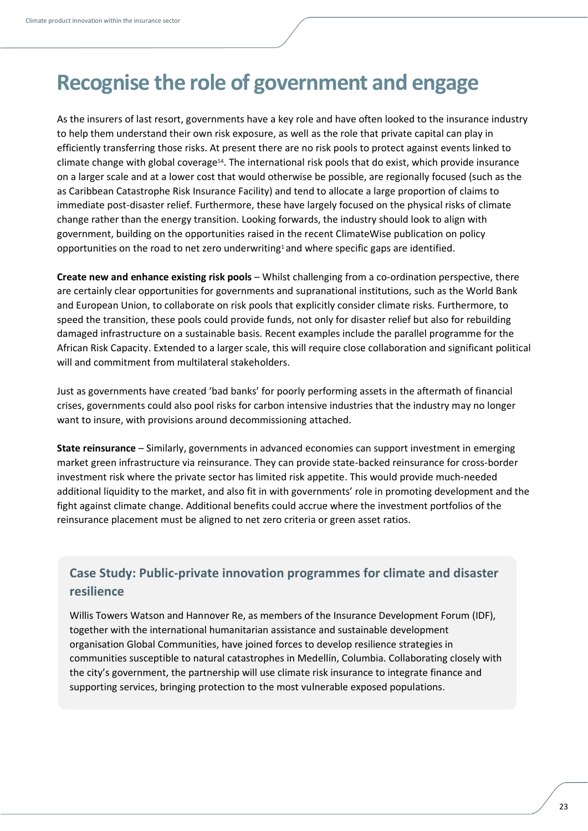# <span id="page-22-0"></span>**Recognise the role of government and engage**

As the insurers of last resort, governments have a key role and have often looked to the insurance industry to help them understand their own risk exposure, as well as the role that private capital can play in efficiently transferring those risks. At present there are no risk pools to protect against events linked to climate change with global coverage<sup>54</sup> . The international risk pools that do exist, which provide insurance on a larger scale and at a lower cost that would otherwise be possible, are regionally focused (such as the as Caribbean Catastrophe Risk Insurance Facility) and tend to allocate a large proportion of claims to immediate post-disaster relief. Furthermore, these have largely focused on the physical risks of climate change rather than the energy transition. Looking forwards, the industry should look to align with government, building on the opportunities raised in the recent ClimateWise publication on policy opportunities on the road to net zero underwriting<sup>1</sup> and where specific gaps are identified.

**Create new and enhance existing risk pools** – Whilst challenging from a co-ordination perspective, there are certainly clear opportunities for governments and supranational institutions, such as the World Bank and European Union, to collaborate on risk pools that explicitly consider climate risks. Furthermore, to speed the transition, these pools could provide funds, not only for disaster relief but also for rebuilding damaged infrastructure on a sustainable basis. Recent examples include the parallel programme for the African Risk Capacity. Extended to a larger scale, this will require close collaboration and significant political will and commitment from multilateral stakeholders.

Just as governments have created 'bad banks' for poorly performing assets in the aftermath of financial crises, governments could also pool risks for carbon intensive industries that the industry may no longer want to insure, with provisions around decommissioning attached.

**State reinsurance** – Similarly, governments in advanced economies can support investment in emerging market green infrastructure via reinsurance. They can provide state-backed reinsurance for cross-border investment risk where the private sector has limited risk appetite. This would provide much-needed additional liquidity to the market, and also fit in with governments' role in promoting development and the fight against climate change. Additional benefits could accrue where the investment portfolios of the reinsurance placement must be aligned to net zero criteria or green asset ratios.

## **Case Study: Public-private innovation programmes for climate and disaster resilience**

Willis Towers Watson and Hannover Re, as members of the Insurance Development Forum (IDF), together with the international humanitarian assistance and sustainable development organisation Global Communities, have joined forces to develop resilience strategies in communities susceptible to natural catastrophes in Medellín, Columbia. Collaborating closely with the city's government, the partnership will use climate risk insurance to integrate finance and supporting services, bringing protection to the most vulnerable exposed populations.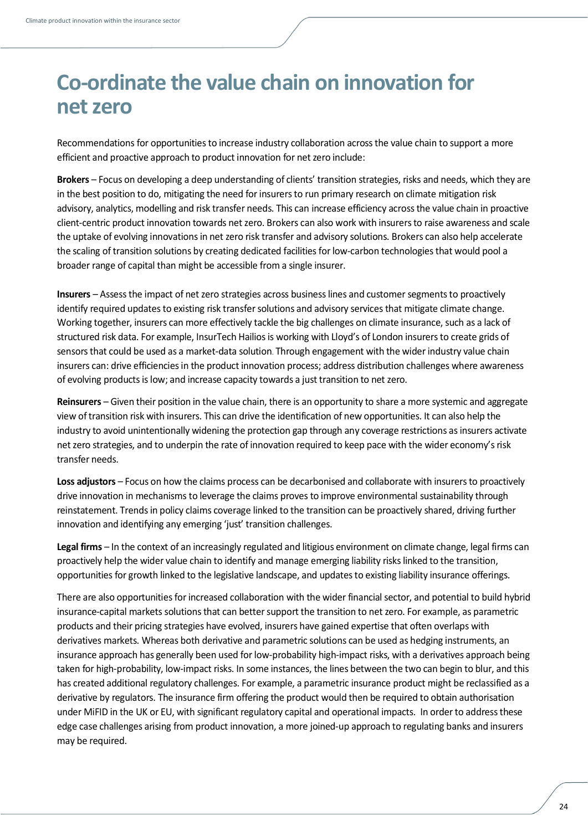## <span id="page-23-0"></span>**Co-ordinate the value chain on innovation for net zero**

Recommendations for opportunities to increase industry collaboration across the value chain to support a more efficient and proactive approach to product innovation for net zero include:

**Brokers** – Focus on developing a deep understanding of clients' transition strategies, risks and needs, which they are in the best position to do, mitigating the need for insurers to run primary research on climate mitigation risk advisory, analytics, modelling and risk transfer needs. This can increase efficiency across the value chain in proactive client-centric product innovation towards net zero. Brokers can also work with insurers to raise awareness and scale the uptake of evolving innovations in net zero risk transfer and advisory solutions. Brokers can also help accelerate the scaling of transition solutions by creating dedicated facilities for low-carbon technologies that would pool a broader range of capital than might be accessible from a single insurer.

**Insurers** – Assess the impact of net zero strategies across business lines and customer segments to proactively identify required updates to existing risk transfer solutions and advisory services that mitigate climate change. Working together, insurers can more effectively tackle the big challenges on climate insurance, such as a lack of structured risk data. For example, InsurTech Hailios is working with Lloyd's of London insurers to create grids of sensors that could be used as a market-data solution. Through engagement with the wider industry value chain insurers can: drive efficiencies in the product innovation process; address distribution challenges where awareness of evolving products is low; and increase capacity towards a just transition to net zero.

**Reinsurers** – Given their position in the value chain, there is an opportunity to share a more systemic and aggregate view of transition risk with insurers. This can drive the identification of new opportunities. It can also help the industry to avoid unintentionally widening the protection gap through any coverage restrictions as insurers activate net zero strategies, and to underpin the rate of innovation required to keep pace with the wider economy's risk transfer needs.

**Loss adjustors** – Focus on how the claims process can be decarbonised and collaborate with insurers to proactively drive innovation in mechanisms to leverage the claims proves to improve environmental sustainability through reinstatement. Trends in policy claims coverage linked to the transition can be proactively shared, driving further innovation and identifying any emerging 'just' transition challenges.

**Legal firms** – In the context of an increasingly regulated and litigious environment on climate change, legal firms can proactively help the wider value chain to identify and manage emerging liability risks linked to the transition, opportunities for growth linked to the legislative landscape, and updates to existing liability insurance offerings.

There are also opportunities for increased collaboration with the wider financial sector, and potential to build hybrid insurance-capital markets solutions that can better support the transition to net zero. For example, as parametric products and their pricing strategies have evolved, insurers have gained expertise that often overlaps with derivatives markets. Whereas both derivative and parametric solutions can be used as hedging instruments, an insurance approach has generally been used for low-probability high-impact risks, with a derivatives approach being taken for high-probability, low-impact risks. In some instances, the lines between the two can begin to blur, and this has created additional regulatory challenges. For example, a parametric insurance product might be reclassified as a derivative by regulators. The insurance firm offering the product would then be required to obtain authorisation under MiFID in the UK or EU, with significant regulatory capital and operational impacts. In order to address these edge case challenges arising from product innovation, a more joined-up approach to regulating banks and insurers may be required.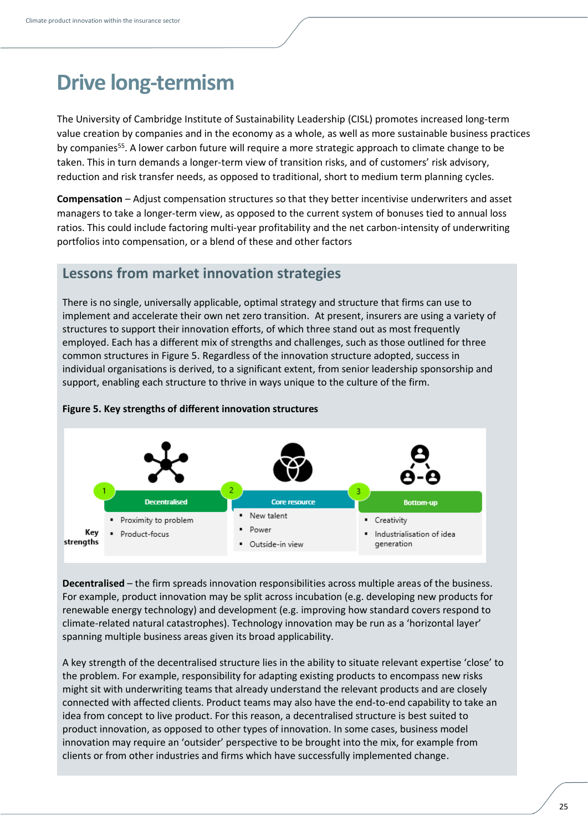# <span id="page-24-0"></span>**Drive long-termism**

The University of Cambridge Institute of Sustainability Leadership (CISL) promotes increased long-term value creation by companies and in the economy as a whole, as well as more sustainable business practices by companies<sup>55</sup>. A lower carbon future will require a more strategic approach to climate change to be taken. This in turn demands a longer-term view of transition risks, and of customers' risk advisory, reduction and risk transfer needs, as opposed to traditional, short to medium term planning cycles.

**Compensation** – Adjust compensation structures so that they better incentivise underwriters and asset managers to take a longer-term view, as opposed to the current system of bonuses tied to annual loss ratios. This could include factoring multi-year profitability and the net carbon-intensity of underwriting portfolios into compensation, or a blend of these and other factors

### **Lessons from market innovation strategies**

There is no single, universally applicable, optimal strategy and structure that firms can use to implement and accelerate their own net zero transition. At present, insurers are using a variety of structures to support their innovation efforts, of which three stand out as most frequently employed. Each has a different mix of strengths and challenges, such as those outlined for three common structures in Figure 5. Regardless of the innovation structure adopted, success in individual organisations is derived, to a significant extent, from senior leadership sponsorship and support, enabling each structure to thrive in ways unique to the culture of the firm.



#### **Figure 5. Key strengths of different innovation structures**

**Decentralised** – the firm spreads innovation responsibilities across multiple areas of the business. For example, product innovation may be split across incubation (e.g. developing new products for renewable energy technology) and development (e.g. improving how standard covers respond to climate-related natural catastrophes). Technology innovation may be run as a 'horizontal layer' spanning multiple business areas given its broad applicability.

A key strength of the decentralised structure lies in the ability to situate relevant expertise 'close' to the problem. For example, responsibility for adapting existing products to encompass new risks might sit with underwriting teams that already understand the relevant products and are closely connected with affected clients. Product teams may also have the end-to-end capability to take an idea from concept to live product. For this reason, a decentralised structure is best suited to product innovation, as opposed to other types of innovation. In some cases, business model innovation may require an 'outsider' perspective to be brought into the mix, for example from clients or from other industries and firms which have successfully implemented change.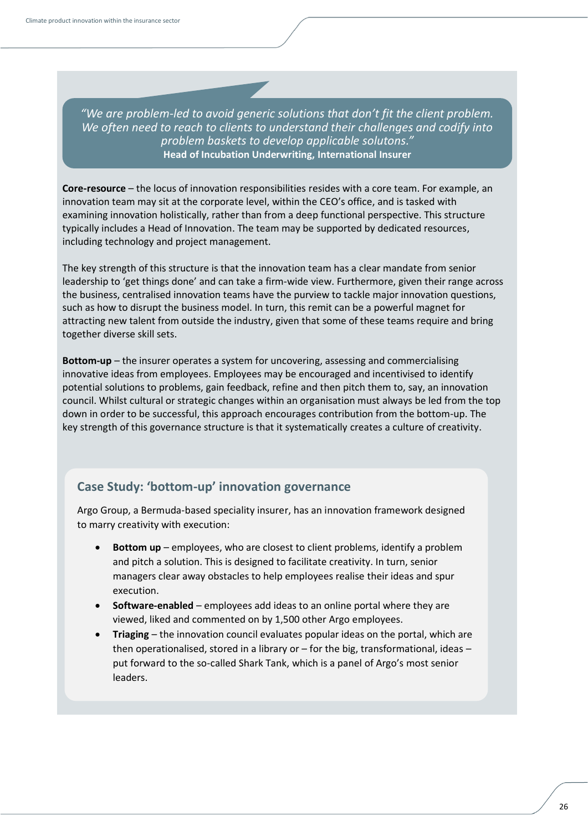*"We are problem-led to avoid generic solutions that don't fit the client problem. We often need to reach to clients to understand their challenges and codify into problem baskets to develop applicable solutons."* **Head of Incubation Underwriting, International Insurer**

**Core-resource** – the locus of innovation responsibilities resides with a core team. For example, an innovation team may sit at the corporate level, within the CEO's office, and is tasked with examining innovation holistically, rather than from a deep functional perspective. This structure typically includes a Head of Innovation. The team may be supported by dedicated resources, including technology and project management.

The key strength of this structure is that the innovation team has a clear mandate from senior leadership to 'get things done' and can take a firm-wide view. Furthermore, given their range across the business, centralised innovation teams have the purview to tackle major innovation questions, such as how to disrupt the business model. In turn, this remit can be a powerful magnet for attracting new talent from outside the industry, given that some of these teams require and bring together diverse skill sets.

**Bottom-up** – the insurer operates a system for uncovering, assessing and commercialising innovative ideas from employees. Employees may be encouraged and incentivised to identify potential solutions to problems, gain feedback, refine and then pitch them to, say, an innovation council. Whilst cultural or strategic changes within an organisation must always be led from the top down in order to be successful, this approach encourages contribution from the bottom-up. The key strength of this governance structure is that it systematically creates a culture of creativity.

### **Case Study: 'bottom-up' innovation governance**

Argo Group, a Bermuda-based speciality insurer, has an innovation framework designed to marry creativity with execution:

- **Bottom up** employees, who are closest to client problems, identify a problem and pitch a solution. This is designed to facilitate creativity. In turn, senior managers clear away obstacles to help employees realise their ideas and spur execution.
- **Software-enabled**  employees add ideas to an online portal where they are viewed, liked and commented on by 1,500 other Argo employees.
- **Triaging** the innovation council evaluates popular ideas on the portal, which are then operationalised, stored in a library or – for the big, transformational, ideas – put forward to the so-called Shark Tank, which is a panel of Argo's most senior leaders.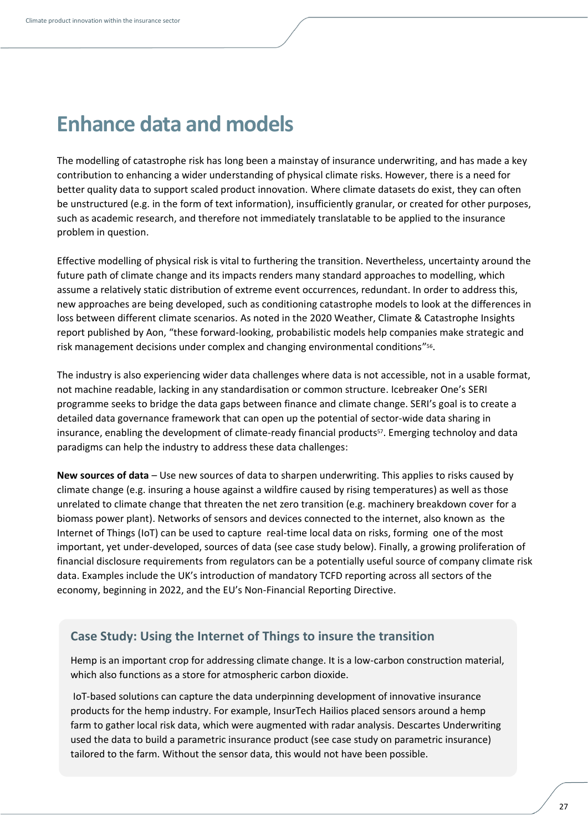## <span id="page-26-0"></span>**Enhance data and models**

The modelling of catastrophe risk has long been a mainstay of insurance underwriting, and has made a key contribution to enhancing a wider understanding of physical climate risks. However, there is a need for better quality data to support scaled product innovation. Where climate datasets do exist, they can often be unstructured (e.g. in the form of text information), insufficiently granular, or created for other purposes, such as academic research, and therefore not immediately translatable to be applied to the insurance problem in question.

Effective modelling of physical risk is vital to furthering the transition. Nevertheless, uncertainty around the future path of climate change and its impacts renders many standard approaches to modelling, which assume a relatively static distribution of extreme event occurrences, redundant. In order to address this, new approaches are being developed, such as conditioning catastrophe models to look at the differences in loss between different climate scenarios. As noted in the 2020 Weather, Climate & Catastrophe Insights report published by Aon, "these forward-looking, probabilistic models help companies make strategic and risk management decisions under complex and changing environmental conditions" 56 .

The industry is also experiencing wider data challenges where data is not accessible, not in a usable format, not machine readable, lacking in any standardisation or common structure. Icebreaker One's SERI programme seeks to bridge the data gaps between finance and climate change. SERI's goal is to create a detailed data governance framework that can open up the potential of sector-wide data sharing in insurance, enabling the development of climate-ready financial products<sup>57</sup>. Emerging technoloy and data paradigms can help the industry to address these data challenges:

**New sources of data** – Use new sources of data to sharpen underwriting. This applies to risks caused by climate change (e.g. insuring a house against a wildfire caused by rising temperatures) as well as those unrelated to climate change that threaten the net zero transition (e.g. machinery breakdown cover for a biomass power plant). Networks of sensors and devices connected to the internet, also known as the Internet of Things (IoT) can be used to capture real-time local data on risks, forming one of the most important, yet under-developed, sources of data (see case study below). Finally, a growing proliferation of financial disclosure requirements from regulators can be a potentially useful source of company climate risk data. Examples include the UK's introduction of mandatory TCFD reporting across all sectors of the economy, beginning in 2022, and the EU's Non-Financial Reporting Directive.

### **Case Study: Using the Internet of Things to insure the transition**

Hemp is an important crop for addressing climate change. It is a low-carbon construction material, which also functions as a store for atmospheric carbon dioxide.

IoT-based solutions can capture the data underpinning development of innovative insurance products for the hemp industry. For example, InsurTech Hailios placed sensors around a hemp farm to gather local risk data, which were augmented with radar analysis. Descartes Underwriting used the data to build a parametric insurance product (see case study on parametric insurance) tailored to the farm. Without the sensor data, this would not have been possible.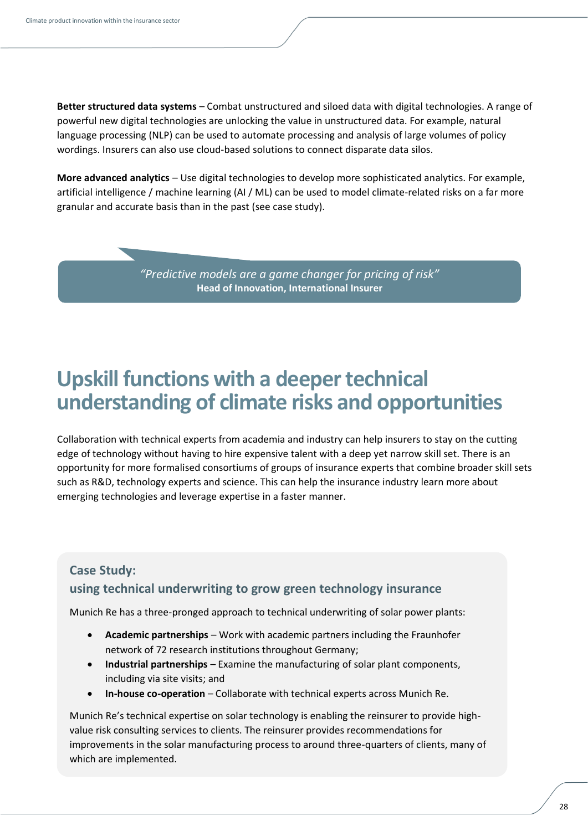**Better structured data systems** – Combat unstructured and siloed data with digital technologies. A range of powerful new digital technologies are unlocking the value in unstructured data. For example, natural language processing (NLP) can be used to automate processing and analysis of large volumes of policy wordings. Insurers can also use cloud-based solutions to connect disparate data silos.

**More advanced analytics** – Use digital technologies to develop more sophisticated analytics. For example, artificial intelligence / machine learning (AI / ML) can be used to model climate-related risks on a far more granular and accurate basis than in the past (see case study).

> *"Predictive models are a game changer for pricing of risk"* **Head of Innovation, International Insurer**

## <span id="page-27-0"></span>**Upskill functions with a deeper technical understanding of climate risks and opportunities**

Collaboration with technical experts from academia and industry can help insurers to stay on the cutting edge of technology without having to hire expensive talent with a deep yet narrow skill set. There is an opportunity for more formalised consortiums of groups of insurance experts that combine broader skill sets such as R&D, technology experts and science. This can help the insurance industry learn more about emerging technologies and leverage expertise in a faster manner.

### **Case Study: using technical underwriting to grow green technology insurance**

Munich Re has a three-pronged approach to technical underwriting of solar power plants:

- **Academic partnerships** Work with academic partners including the Fraunhofer network of 72 research institutions throughout Germany;
- **Industrial partnerships** Examine the manufacturing of solar plant components, including via site visits; and
- **In-house co-operation** Collaborate with technical experts across Munich Re.

Munich Re's technical expertise on solar technology is enabling the reinsurer to provide highvalue risk consulting services to clients. The reinsurer provides recommendations for improvements in the solar manufacturing process to around three-quarters of clients, many of which are implemented.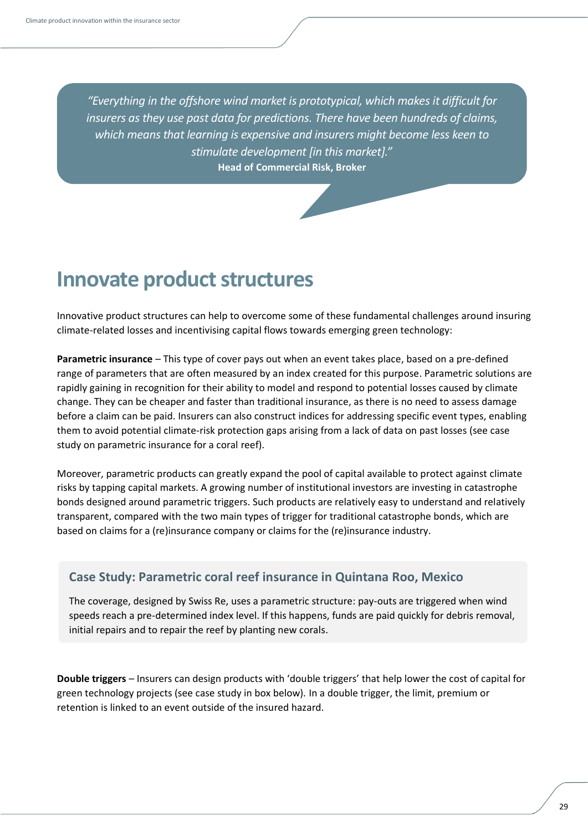*"Everything in the offshore wind market is prototypical, which makes it difficult for insurers as they use past data for predictions. There have been hundreds of claims, which means that learning is expensive and insurers might become less keen to stimulate development [in this market]."* **Head of Commercial Risk, Broker**

# <span id="page-28-0"></span>**Innovate product structures**

Innovative product structures can help to overcome some of these fundamental challenges around insuring climate-related losses and incentivising capital flows towards emerging green technology:

**Parametric insurance** – This type of cover pays out when an event takes place, based on a pre-defined range of parameters that are often measured by an index created for this purpose. Parametric solutions are rapidly gaining in recognition for their ability to model and respond to potential losses caused by climate change. They can be cheaper and faster than traditional insurance, as there is no need to assess damage before a claim can be paid. Insurers can also construct indices for addressing specific event types, enabling them to avoid potential climate-risk protection gaps arising from a lack of data on past losses (see case study on parametric insurance for a coral reef).

Moreover, parametric products can greatly expand the pool of capital available to protect against climate risks by tapping capital markets. A growing number of institutional investors are investing in catastrophe bonds designed around parametric triggers. Such products are relatively easy to understand and relatively transparent, compared with the two main types of trigger for traditional catastrophe bonds, which are based on claims for a (re)insurance company or claims for the (re)insurance industry.

### **Case Study: Parametric coral reef insurance in Quintana Roo, Mexico**

The coverage, designed by Swiss Re, uses a parametric structure: pay-outs are triggered when wind speeds reach a pre-determined index level. If this happens, funds are paid quickly for debris removal, initial repairs and to repair the reef by planting new corals.

**Double triggers** – Insurers can design products with 'double triggers' that help lower the cost of capital for green technology projects (see case study in box below). In a double trigger, the limit, premium or retention is linked to an event outside of the insured hazard.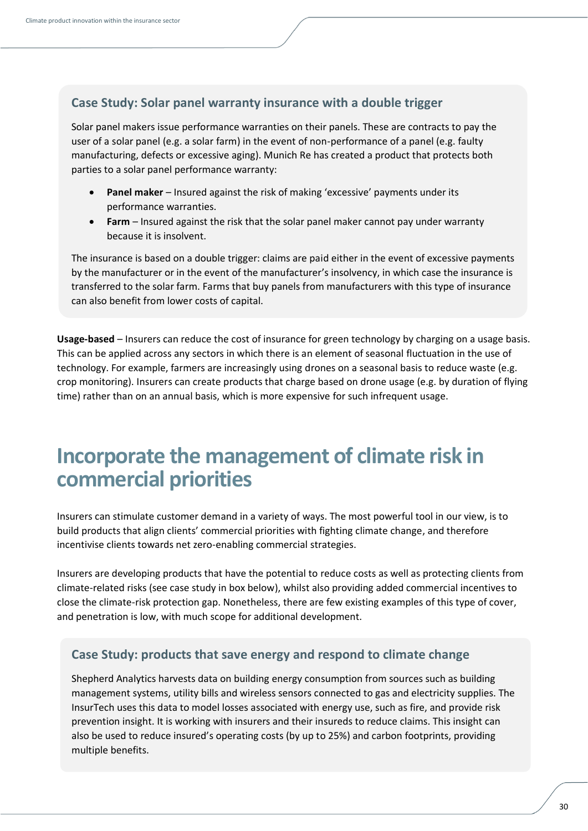### **Case Study: Solar panel warranty insurance with a double trigger**

Solar panel makers issue performance warranties on their panels. These are contracts to pay the user of a solar panel (e.g. a solar farm) in the event of non-performance of a panel (e.g. faulty manufacturing, defects or excessive aging). Munich Re has created a product that protects both parties to a solar panel performance warranty:

- **Panel maker** Insured against the risk of making 'excessive' payments under its performance warranties.
- **Farm** Insured against the risk that the solar panel maker cannot pay under warranty because it is insolvent.

The insurance is based on a double trigger: claims are paid either in the event of excessive payments by the manufacturer or in the event of the manufacturer's insolvency, in which case the insurance is transferred to the solar farm. Farms that buy panels from manufacturers with this type of insurance can also benefit from lower costs of capital.

**Usage-based** – Insurers can reduce the cost of insurance for green technology by charging on a usage basis. This can be applied across any sectors in which there is an element of seasonal fluctuation in the use of technology. For example, farmers are increasingly using drones on a seasonal basis to reduce waste (e.g. crop monitoring). Insurers can create products that charge based on drone usage (e.g. by duration of flying time) rather than on an annual basis, which is more expensive for such infrequent usage.

## <span id="page-29-0"></span>**Incorporate the management of climate risk in commercial priorities**

Insurers can stimulate customer demand in a variety of ways. The most powerful tool in our view, is to build products that align clients' commercial priorities with fighting climate change, and therefore incentivise clients towards net zero-enabling commercial strategies.

Insurers are developing products that have the potential to reduce costs as well as protecting clients from climate-related risks (see case study in box below), whilst also providing added commercial incentives to close the climate-risk protection gap. Nonetheless, there are few existing examples of this type of cover, and penetration is low, with much scope for additional development.

### **Case Study: products that save energy and respond to climate change**

Shepherd Analytics harvests data on building energy consumption from sources such as building management systems, utility bills and wireless sensors connected to gas and electricity supplies. The InsurTech uses this data to model losses associated with energy use, such as fire, and provide risk prevention insight. It is working with insurers and their insureds to reduce claims. This insight can also be used to reduce insured's operating costs (by up to 25%) and carbon footprints, providing multiple benefits.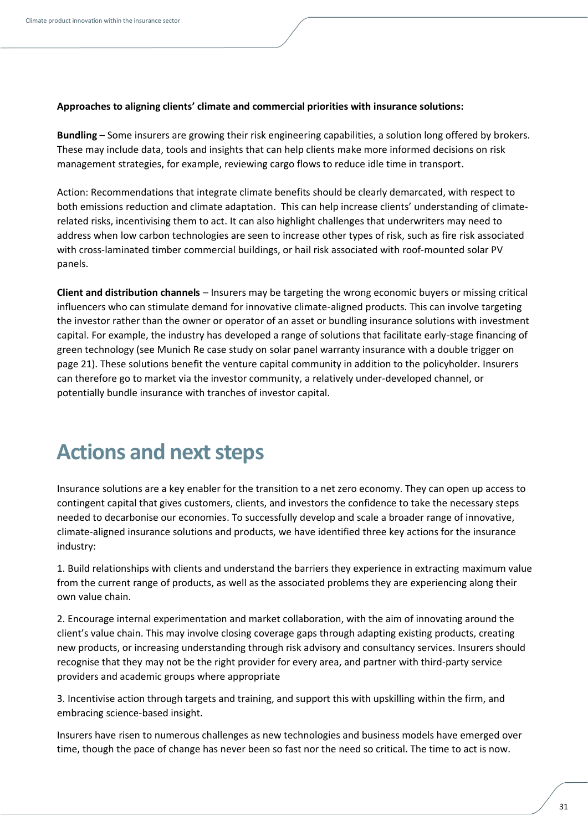#### **Approaches to aligning clients' climate and commercial priorities with insurance solutions:**

**Bundling** – Some insurers are growing their risk engineering capabilities, a solution long offered by brokers. These may include data, tools and insights that can help clients make more informed decisions on risk management strategies, for example, reviewing cargo flows to reduce idle time in transport.

Action: Recommendations that integrate climate benefits should be clearly demarcated, with respect to both emissions reduction and climate adaptation. This can help increase clients' understanding of climaterelated risks, incentivising them to act. It can also highlight challenges that underwriters may need to address when low carbon technologies are seen to increase other types of risk, such as fire risk associated with cross-laminated timber commercial buildings, or hail risk associated with roof-mounted solar PV panels.

**Client and distribution channels** – Insurers may be targeting the wrong economic buyers or missing critical influencers who can stimulate demand for innovative climate-aligned products. This can involve targeting the investor rather than the owner or operator of an asset or bundling insurance solutions with investment capital. For example, the industry has developed a range of solutions that facilitate early-stage financing of green technology (see Munich Re case study on solar panel warranty insurance with a double trigger on page 21). These solutions benefit the venture capital community in addition to the policyholder. Insurers can therefore go to market via the investor community, a relatively under-developed channel, or potentially bundle insurance with tranches of investor capital.

## <span id="page-30-0"></span>**Actions and next steps**

Insurance solutions are a key enabler for the transition to a net zero economy. They can open up access to contingent capital that gives customers, clients, and investors the confidence to take the necessary steps needed to decarbonise our economies. To successfully develop and scale a broader range of innovative, climate-aligned insurance solutions and products, we have identified three key actions for the insurance industry:

1. Build relationships with clients and understand the barriers they experience in extracting maximum value from the current range of products, as well as the associated problems they are experiencing along their own value chain.

2. Encourage internal experimentation and market collaboration, with the aim of innovating around the client's value chain. This may involve closing coverage gaps through adapting existing products, creating new products, or increasing understanding through risk advisory and consultancy services. Insurers should recognise that they may not be the right provider for every area, and partner with third-party service providers and academic groups where appropriate

3. Incentivise action through targets and training, and support this with upskilling within the firm, and embracing science-based insight.

Insurers have risen to numerous challenges as new technologies and business models have emerged over time, though the pace of change has never been so fast nor the need so critical. The time to act is now.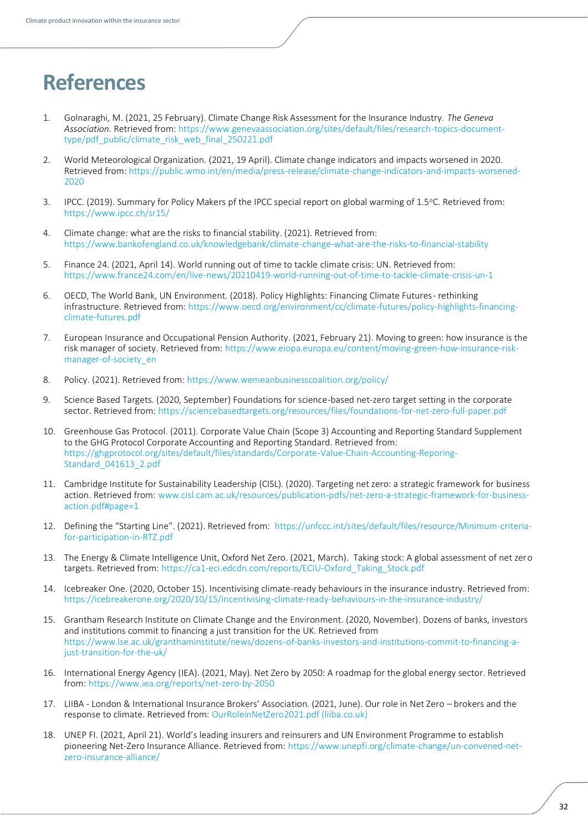# **References**

- 1. Golnaraghi, M. (2021, 25 February). Climate Change Risk Assessment for the Insurance Industry. *The Geneva Association.* Retrieved from[: https://www.genevaassociation.org/sites/default/files/research-topics-document](https://www.genevaassociation.org/sites/default/files/research-topics-document-type/pdf_public/climate_risk_web_final_250221.pdf)[type/pdf\\_public/climate\\_risk\\_web\\_final\\_250221.pdf](https://www.genevaassociation.org/sites/default/files/research-topics-document-type/pdf_public/climate_risk_web_final_250221.pdf)
- 2. World Meteorological Organization. (2021, 19 April). Climate change indicators and impacts worsened in 2020. Retrieved from[: https://public.wmo.int/en/media/press-release/climate-change-indicators-and-impacts-worsened-](https://public.wmo.int/en/media/press-release/climate-change-indicators-and-impacts-worsened-2020)[2020](https://public.wmo.int/en/media/press-release/climate-change-indicators-and-impacts-worsened-2020)
- 3. IPCC. (2019). Summary for Policy Makers pf the IPCC special report on global warming of 1.5°C. Retrieved from: <https://www.ipcc.ch/sr15/>
- 4. Climate change: what are the risks to financial stability. (2021). Retrieved from: <https://www.bankofengland.co.uk/knowledgebank/climate-change-what-are-the-risks-to-financial-stability>
- 5. Finance 24. (2021, April 14). World running out of time to tackle climate crisis: UN. Retrieved from: <https://www.france24.com/en/live-news/20210419-world-running-out-of-time-to-tackle-climate-crisis-un-1>
- 6. OECD, The World Bank, UN Environment. (2018). Policy Highlights: Financing Climate Futures- rethinking infrastructure. Retrieved from[: https://www.oecd.org/environment/cc/climate-futures/policy-highlights-financing](https://www.oecd.org/environment/cc/climate-futures/policy-highlights-financing-climate-futures.pdf)[climate-futures.pdf](https://www.oecd.org/environment/cc/climate-futures/policy-highlights-financing-climate-futures.pdf)
- 7. European Insurance and Occupational Pension Authority. (2021, February 21). Moving to green: how insurance is the risk manager of society. Retrieved from[: https://www.eiopa.europa.eu/content/moving-green-how-insurance-risk](https://www.eiopa.europa.eu/content/moving-green-how-insurance-risk-manager-of-society_en)[manager-of-society\\_en](https://www.eiopa.europa.eu/content/moving-green-how-insurance-risk-manager-of-society_en)
- 8. Policy. (2021). Retrieved from[: https://www.wemeanbusinesscoalition.org/policy/](https://www.wemeanbusinesscoalition.org/policy/)
- 9. Science Based Targets. (2020, September) Foundations for science-based net-zero target setting in the corporate sector. Retrieved from:<https://sciencebasedtargets.org/resources/files/foundations-for-net-zero-full-paper.pdf>
- 10. Greenhouse Gas Protocol. (2011). Corporate Value Chain (Scope 3) Accounting and Reporting Standard Supplement to the GHG Protocol Corporate Accounting and Reporting Standard. Retrieved from: [https://ghgprotocol.org/sites/default/files/standards/Corporate-Value-Chain-Accounting-Reporing-](https://ghgprotocol.org/sites/default/files/standards/Corporate-Value-Chain-Accounting-Reporing-Standard_041613_2.pdf)[Standard\\_041613\\_2.pdf](https://ghgprotocol.org/sites/default/files/standards/Corporate-Value-Chain-Accounting-Reporing-Standard_041613_2.pdf)
- 11. Cambridge Institute for Sustainability Leadership (CISL). (2020). Targeting net zero: a strategic framework for business action. Retrieved from: [www.cisl.cam.ac.uk/resources/publication-pdfs/net-zero-a-strategic-framework-for-business](http://www.cisl.cam.ac.uk/resources/publication-pdfs/net-zero-a-strategic-framework-for-business-action.pdf#page=1)[action.pdf#page=1](http://www.cisl.cam.ac.uk/resources/publication-pdfs/net-zero-a-strategic-framework-for-business-action.pdf#page=1)
- 12. Defining the "Starting Line". (2021). Retrieved from: [https://unfccc.int/sites/default/files/resource/Minimum-criteria](https://unfccc.int/sites/default/files/resource/Minimum-criteria-for-participation-in-RTZ.pdf)[for-participation-in-RTZ.pdf](https://unfccc.int/sites/default/files/resource/Minimum-criteria-for-participation-in-RTZ.pdf)
- 13. The Energy & Climate Intelligence Unit, Oxford Net Zero. (2021, March). Taking stock: A global assessment of net zero targets. Retrieved from[: https://ca1-eci.edcdn.com/reports/ECIU-Oxford\\_Taking\\_Stock.pdf](https://ca1-eci.edcdn.com/reports/ECIU-Oxford_Taking_Stock.pdf)
- 14. Icebreaker One. (2020, October 15). Incentivising climate-ready behaviours in the insurance industry. Retrieved from: <https://icebreakerone.org/2020/10/15/incentivising-climate-ready-behaviours-in-the-insurance-industry/>
- 15. Grantham Research Institute on Climate Change and the Environment. (2020, November). Dozens of banks, investors and institutions commit to financing a just transition for the UK. Retrieved from [https://www.lse.ac.uk/granthaminstitute/news/dozens-of-banks-investors-and-institutions-commit-to-financing-a](https://www.lse.ac.uk/granthaminstitute/news/dozens-of-banks-investors-and-institutions-commit-to-financing-a-just-transition-for-the-uk/)[just-transition-for-the-uk/](https://www.lse.ac.uk/granthaminstitute/news/dozens-of-banks-investors-and-institutions-commit-to-financing-a-just-transition-for-the-uk/)
- 16. International Energy Agency (IEA). (2021, May). Net Zero by 2050: A roadmap for the global energy sector. Retrieved from[: https://www.iea.org/reports/net-zero-by-2050](https://www.iea.org/reports/net-zero-by-2050)
- 17. LIIBA London & International Insurance Brokers' Association. (2021, June). Our role in Net Zero brokers and the response to climate. Retrieved from: [OurRoleinNetZero2021.pdf \(liiba.co.uk\)](https://liiba.co.uk/downloads/2021/06/OurRoleinNetZero2021.pdf)
- 18. UNEP FI. (2021, April 21). World's leading insurers and reinsurers and UN Environment Programme to establish pioneering Net-Zero Insurance Alliance. Retrieved from[: https://www.unepfi.org/climate-change/un-convened-net](https://www.unepfi.org/climate-change/un-convened-net-zero-insurance-alliance/)[zero-insurance-alliance/](https://www.unepfi.org/climate-change/un-convened-net-zero-insurance-alliance/)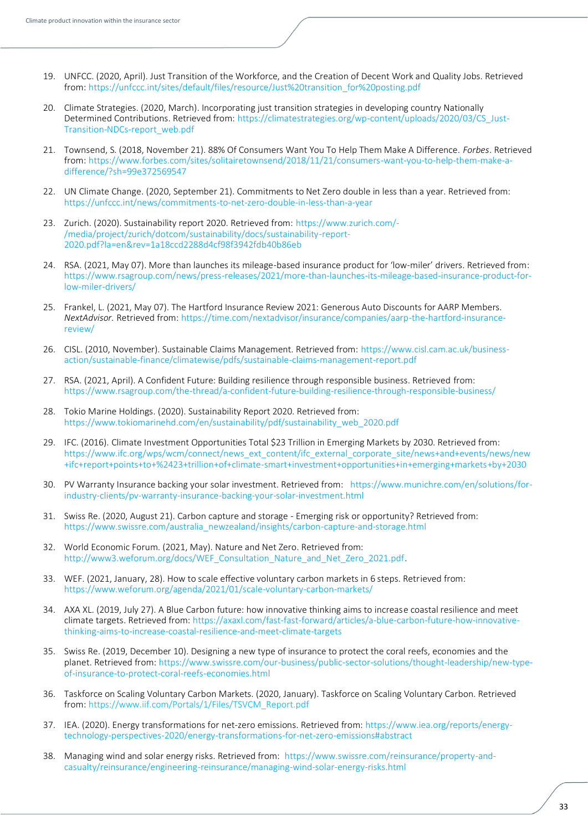- 19. UNFCC. (2020, April). Just Transition of the Workforce, and the Creation of Decent Work and Quality Jobs. Retrieved from[: https://unfccc.int/sites/default/files/resource/Just%20transition\\_for%20posting.pdf](https://unfccc.int/sites/default/files/resource/Just%20transition_for%20posting.pdf)
- 20. Climate Strategies. (2020, March). Incorporating just transition strategies in developing country Nationally Determined Contributions. Retrieved from: [https://climatestrategies.org/wp-content/uploads/2020/03/CS\\_Just-](https://climatestrategies.org/wp-content/uploads/2020/03/CS_Just-Transition-NDCs-report_web.pdf)[Transition-NDCs-report\\_web.pdf](https://climatestrategies.org/wp-content/uploads/2020/03/CS_Just-Transition-NDCs-report_web.pdf)
- 21. Townsend, S. (2018, November 21). 88% Of Consumers Want You To Help Them Make A Difference. *Forbes*. Retrieved from[: https://www.forbes.com/sites/solitairetownsend/2018/11/21/consumers-want-you-to-help-them-make-a](https://www.forbes.com/sites/solitairetownsend/2018/11/21/consumers-want-you-to-help-them-make-a-difference/?sh=99e372569547)[difference/?sh=99e372569547](https://www.forbes.com/sites/solitairetownsend/2018/11/21/consumers-want-you-to-help-them-make-a-difference/?sh=99e372569547)
- 22. UN Climate Change. (2020, September 21). Commitments to Net Zero double in less than a year. Retrieved from: <https://unfccc.int/news/commitments-to-net-zero-double-in-less-than-a-year>
- 23. Zurich. (2020). Sustainability report 2020. Retrieved from: [https://www.zurich.com/-](https://www.zurich.com/-/media/project/zurich/dotcom/sustainability/docs/sustainability-report-2020.pdf?la=en&rev=1a18ccd2288d4cf98f3942fdb40b86eb) [/media/project/zurich/dotcom/sustainability/docs/sustainability-report-](https://www.zurich.com/-/media/project/zurich/dotcom/sustainability/docs/sustainability-report-2020.pdf?la=en&rev=1a18ccd2288d4cf98f3942fdb40b86eb)[2020.pdf?la=en&rev=1a18ccd2288d4cf98f3942fdb40b86eb](https://www.zurich.com/-/media/project/zurich/dotcom/sustainability/docs/sustainability-report-2020.pdf?la=en&rev=1a18ccd2288d4cf98f3942fdb40b86eb)
- 24. RSA. (2021, May 07). More than launches its mileage-based insurance product for 'low-miler' drivers. Retrieved from: [https://www.rsagroup.com/news/press-releases/2021/more-than-launches-its-mileage-based-insurance-product-for](https://www.rsagroup.com/news/press-releases/2021/more-than-launches-its-mileage-based-insurance-product-for-low-miler-drivers/)[low-miler-drivers/](https://www.rsagroup.com/news/press-releases/2021/more-than-launches-its-mileage-based-insurance-product-for-low-miler-drivers/)
- 25. Frankel, L. (2021, May 07). The Hartford Insurance Review 2021: Generous Auto Discounts for AARP Members. *NextAdvisor.* Retrieved from[: https://time.com/nextadvisor/insurance/companies/aarp-the-hartford-insurance](https://time.com/nextadvisor/insurance/companies/aarp-the-hartford-insurance-review/)[review/](https://time.com/nextadvisor/insurance/companies/aarp-the-hartford-insurance-review/)
- 26. CISL. (2010, November). Sustainable Claims Management. Retrieved from: [https://www.cisl.cam.ac.uk/business](https://www.cisl.cam.ac.uk/business-action/sustainable-finance/climatewise/pdfs/sustainable-claims-management-report.pdf)[action/sustainable-finance/climatewise/pdfs/sustainable-claims-management-report.pdf](https://www.cisl.cam.ac.uk/business-action/sustainable-finance/climatewise/pdfs/sustainable-claims-management-report.pdf)
- 27. RSA. (2021, April). A Confident Future: Building resilience through responsible business. Retrieved from: <https://www.rsagroup.com/the-thread/a-confident-future-building-resilience-through-responsible-business/>
- 28. Tokio Marine Holdings. (2020). Sustainability Report 2020. Retrieved from: [https://www.tokiomarinehd.com/en/sustainability/pdf/sustainability\\_web\\_2020.pdf](https://www.tokiomarinehd.com/en/sustainability/pdf/sustainability_web_2020.pdf)
- 29. IFC. (2016). Climate Investment Opportunities Total \$23 Trillion in Emerging Markets by 2030. Retrieved from: [https://www.ifc.org/wps/wcm/connect/news\\_ext\\_content/ifc\\_external\\_corporate\\_site/news+and+events/news/new](https://www.ifc.org/wps/wcm/connect/news_ext_content/ifc_external_corporate_site/news+and+events/news/new+ifc+report+points+to+%2423+trillion+of+climate-smart+investment+opportunities+in+emerging+markets+by+2030) [+ifc+report+points+to+%2423+trillion+of+climate-smart+investment+opportunities+in+emerging+markets+by+2030](https://www.ifc.org/wps/wcm/connect/news_ext_content/ifc_external_corporate_site/news+and+events/news/new+ifc+report+points+to+%2423+trillion+of+climate-smart+investment+opportunities+in+emerging+markets+by+2030)
- 30. PV Warranty Insurance backing your solar investment. Retrieved from: [https://www.munichre.com/en/solutions/for](https://www.munichre.com/en/solutions/for-industry-clients/pv-warranty-insurance-backing-your-solar-investment.html)[industry-clients/pv-warranty-insurance-backing-your-solar-investment.html](https://www.munichre.com/en/solutions/for-industry-clients/pv-warranty-insurance-backing-your-solar-investment.html)
- 31. Swiss Re. (2020, August 21). Carbon capture and storage Emerging risk or opportunity? Retrieved from: [https://www.swissre.com/australia\\_newzealand/insights/carbon-capture-and-storage.html](https://www.swissre.com/australia_newzealand/insights/carbon-capture-and-storage.html)
- 32. World Economic Forum. (2021, May). Nature and Net Zero. Retrieved from: [http://www3.weforum.org/docs/WEF\\_Consultation\\_Nature\\_and\\_Net\\_Zero\\_2021.pdf.](http://www3.weforum.org/docs/WEF_Consultation_Nature_and_Net_Zero_2021.pdf)
- 33. WEF. (2021, January, 28). How to scale effective voluntary carbon markets in 6 steps. Retrieved from: <https://www.weforum.org/agenda/2021/01/scale-voluntary-carbon-markets/>
- 34. AXA XL. (2019, July 27). A Blue Carbon future: how innovative thinking aims to increase coastal resilience and meet climate targets. Retrieved from: [https://axaxl.com/fast-fast-forward/articles/a-blue-carbon-future-how-innovative](https://axaxl.com/fast-fast-forward/articles/a-blue-carbon-future-how-innovative-thinking-aims-to-increase-coastal-resilience-and-meet-climate-targets)[thinking-aims-to-increase-coastal-resilience-and-meet-climate-targets](https://axaxl.com/fast-fast-forward/articles/a-blue-carbon-future-how-innovative-thinking-aims-to-increase-coastal-resilience-and-meet-climate-targets)
- 35. Swiss Re. (2019, December 10). Designing a new type of insurance to protect the coral reefs, economies and the planet. Retrieved from[: https://www.swissre.com/our-business/public-sector-solutions/thought-leadership/new-type](https://www.swissre.com/our-business/public-sector-solutions/thought-leadership/new-type-of-insurance-to-protect-coral-reefs-economies.html)[of-insurance-to-protect-coral-reefs-economies.html](https://www.swissre.com/our-business/public-sector-solutions/thought-leadership/new-type-of-insurance-to-protect-coral-reefs-economies.html)
- 36. Taskforce on Scaling Voluntary Carbon Markets. (2020, January). Taskforce on Scaling Voluntary Carbon. Retrieved from: https://www.iif.com/Portals/1/Files/TSVCM\_Report.pdf
- 37. IEA. (2020). Energy transformations for net-zero emissions. Retrieved from[: https://www.iea.org/reports/energy](https://www.iea.org/reports/energy-technology-perspectives-2020/energy-transformations-for-net-zero-emissions#abstract)[technology-perspectives-2020/energy-transformations-for-net-zero-emissions#abstract](https://www.iea.org/reports/energy-technology-perspectives-2020/energy-transformations-for-net-zero-emissions#abstract)
- 38. Managing wind and solar energy risks. Retrieved from: [https://www.swissre.com/reinsurance/property-and](https://www.swissre.com/reinsurance/property-and-casualty/reinsurance/engineering-reinsurance/managing-wind-solar-energy-risks.html)[casualty/reinsurance/engineering-reinsurance/managing-wind-solar-energy-risks.html](https://www.swissre.com/reinsurance/property-and-casualty/reinsurance/engineering-reinsurance/managing-wind-solar-energy-risks.html)